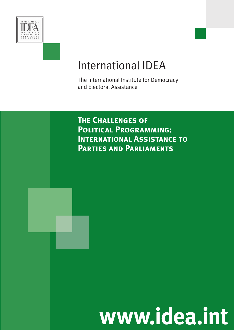

# International IDEA

The International Institute for Democracy and Electoral Assistance

**The Challenges of Political Programming: International Assistance to Parties and Parliaments**

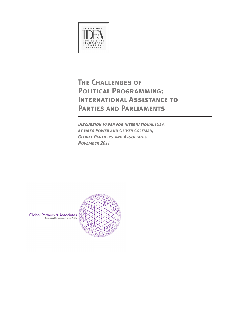

# **The Challenges of Political Programming: International Assistance to Parties and Parliaments**

*Discussion Paper for International IDEA by Greg Power and Oliver Coleman, Global Partners and Associates November 2011*



**Global Partners & Associates**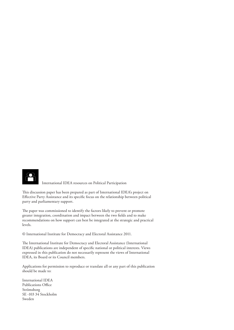

 International IDEA resources on Political Participation

This discussion paper has been prepared as part of International IDEA's project on Effective Party Assistance and its specific focus on the relationship between political party and parliamentary support.

The paper was commissioned to identify the factors likely to prevent or promote greater integration, coordination and impact between the two fields and to make recommendations on how support can best be integrated at the strategic and practical levels.

© International Institute for Democracy and Electoral Assistance 2011.

The International Institute for Democracy and Electoral Assistance (International IDEA) publications are independent of specific national or political interests. Views expressed in this publication do not necessarily represent the views of International IDEA, its Board or its Council members.

Applications for permission to reproduce or translate all or any part of this publication should be made to:

International IDEA Publications Office Strömsborg SE -103 34 Stockholm Sweden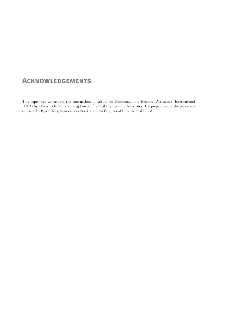### **Acknowledgements**

This paper was written for the International Institute for Democracy and Electoral Assistance (International IDEA) by Oliver Coleman and Greg Power of Global Partners and Associates. The preparation of the paper was overseen by Bjarte Tørå, Sam van der Staak and Elin Falguera of International IDEA.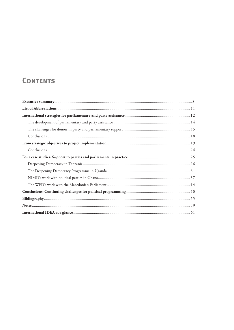# **CONTENTS**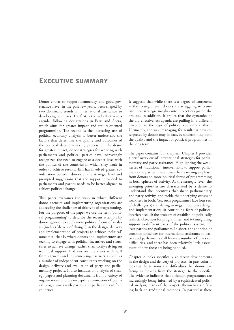### **Executive summary**

Donor efforts to support democracy and good governance have, in the past few years, been shaped by two dominant trends in international assistance to developing countries. The first is the aid effectiveness agenda, following declarations in Paris and Accra, which aims for greater impact and results-oriented programming. The second is the increasing use of political economy analysis to better understand the factors that determine the quality and outcomes of the political decision-making process. In the desire for greater impact, donor strategies for working with parliaments and political parties have increasingly recognized the need to engage at a deeper level with the politics of the countries in which they work in order to achieve results. This has involved greater coordination between donors at the strategic level and prompted suggestions that the support provided to parliaments and parties needs to be better aligned to achieve political change.

This paper examines the ways in which different donor agencies and implementing organizations are addressing the challenges of this type of programming. For the purposes of the paper we use the term 'political programming' to describe the recent attempts by donor agencies to apply more political forms of analysis (such as 'drivers of change') in the design, delivery and implementation of projects to achieve 'political' outcomes; that is, where donors and implementers are seeking to engage with political incentives and structures to achieve change, rather than solely relying on technical support. It draws on interviews with staff from agencies and implementing partners as well as a number of independent consultants working on the design, delivery and evaluation of party and parliamentary projects. It also includes an analysis of strategy papers and planning documents from a variety of organizations and an in-depth examination of political programmes with parties and parliaments in four countries.

It suggests that while there is a degree of consensus at the strategic level, donors are struggling to translate their strategic insights into project design on the ground. In addition, it argues that the dynamics of the aid effectiveness agenda are pulling in a different direction to the logic of political economy analysis. Ultimately, the way 'managing for results' is now interpreted by donors may, in fact, be undermining both the quality and the impact of political programmes in the long term.

The paper contains four chapters. Chapter 1 provides a brief overview of international strategies for parliamentary and party assistance. Highlighting the weaknesses of 'traditional' interventions to support parliaments and parties, it examines the increasing emphasis from donors on more political forms of programming in both spheres of activity. At the strategic level, the emerging priorities are characterized by a desire to understand the incentives that shape parliamentary and party activity, and tackle the underlying causes of weakness in both. Yet, such programmes face four sets of challenges: i) translating strategy into project design and implementation; ii) continuing fears of political interference; iii) the problem of establishing politically realistic objectives for programmes; and iv) integrating support to different parts of the political system, not least parties and parliaments. In short, the adoption of common principles for international assistance to parties and parliaments still leaves a number of practical difficulties, and there has been relatively little assessment of how these are being handled.

Chapter 2 looks specifically at recent developments in the design and delivery of projects. In particular it looks at the tensions and difficulties that donors are facing in moving from the strategic to the specific. The evidence indicates that although programmes are increasingly being informed by a sophisticated political analysis, many of the projects themselves are falling back on traditional methods. In particular there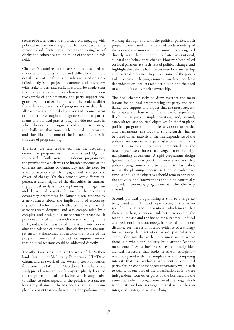seems to be a tendency to shy away from engaging with political realities on the ground. In short, despite the rhetoric of aid effectiveness, thereis a continuing lack of clarity and coherence around much of the work in this field.

Chapter 3 examines four case studies designed to understand these dynamics and difficulties in more detail. Each of the four case studies is based on a detailed analysis of project documents and interviews with stakeholders and staff. It should be made clear that the projects were not chosen as a representative sample of parliamentary and party support programmes, but rather the opposite. The projects differ from the vast majority of programmes in that they all have overtly political objectives and to one extent or another have sought to integrate support to parliaments and political parties. They provide test cases in which donors have recognized and sought to manage the challenges that come with political intervention, and thus illustrate some of the innate difficulties in this area of programming.

The first two case studies examine the deepening democracy programmes in Tanzania and Uganda, respectively. Both were multi-donor programmes, the premise for which was the interdependence of the different institutions of democracy and the need for a set of activities which engaged with the political drivers of change. Yet they provide very different experiences and insights of the difficulties in translating political analysis into the planning, management and delivery of projects. Ultimately, the deepening democracy programme in Tanzania was undone by a nervousness about the implications of encouraging political reform, which affected the way in which activities were designed and was compounded by a complex and ambiguous management structure. It provides a useful contrast with the similar programme in Uganda, which was based on a stated intention to alter the balance of power. That clarity from the outset meant stakeholders understood the nature of the programme—even if they did not support it—and that political tensions could be addressed directly.

The other two case studies are the work of the Netherlands Institute for Multiparty Democracy (NIMD) in Ghana and the work of the Westminster Foundation for Democracy (WFD) in Macedonia. The Ghana case studyprovidesanexampleofaprojectexplicitlydesigned to strengthen political parties but which sought also to influence other aspects of the political system, not least the parliament. The Macedonia case is an example of a project that sought to strengthen parliament by working through and with the political parties. Both projects were based on a detailed understanding of the political dynamics in those countries and engaged directly with them in order to foster institutional, cultural and behavioural change. However, both relied on local partners as the drivers of political change, and highlight the delicate balance between local ownership and external pressure. They reveal some of the potential problems such programming can face, not least dependency on local stakeholder buy-in and the need to combine incentives with ownership.

The final chapter seeks to draw together the main lessons for political programming for party and parliamentary support and argues that the most successful projects are those which first allow for significant flexibility in project implementation; and, second, establish realistic political objectives. In the first place, political programming—not least support to parties and parliaments, the focus of this research—has to be based on an analysis of the interdependence of the political institutions in a particular country. In this context, numerous interviewees commented that the best projects were those that diverged from the original planning documents. A rigid programme design ignores the fact that politics is never static and that political programmes need to respond to this reality, so that the planning process itself should evolve over time. Although the objectives should remain constant, the activities and interventions should be continually adapted. In too many programmes it is the other way around.

Second, political programming is still, to a large extent, based on a 'hit and hope' strategy. It relies on specific activities and interventions, which means that there is, at best, a tenuous link between some of the techniques used and the hoped-for outcomes. Political change is not linear, but messy, haphazard and unpredictable. Yet there is almost no evidence of a strategy for managing these activities towards particular outcomes. Contrast this with the business world, where there is a whole sub-industry built around 'change management'. Most businesses have a broadly hierarchical structure that looks relatively straightforward compared with the complexities and competing interests that exist within a parliament or a political party. Yet, no change management strategy would seek to deal with one part of the organization as if it were independent from other parts of the business. In the same way, political programmes need a strategy which is not just based on an integrated analysis, but has an integrated strategy to achieve change.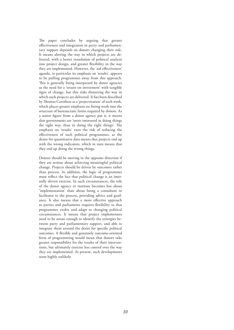The paper concludes by arguing that greater effectiveness and integration in party and parliamentary support depends on donors changing their role. It means altering the way in which projects are delivered, with a better translation of political analysis into project design, and greater flexibility in the way they are implemented. However, the 'aid effectiveness' agenda, in particular its emphasis on 'results', appears to be pulling programmes away from this approach. This is generally being interpreted by donor agencies as the need for a 'return on investment' with tangible signs of change, but this risks distorting the way in which such projects are delivered. It has been described by Thomas Carothers as a 'projectization' of such work, which places greater emphasis on fitting work into the structure of bureaucratic forms required by donors. As a senior figure from a donor agency put it, it means that governments are 'more interested in doing things the right way, than in doing the right things'. The emphasis on 'results' runs the risk of reducing the effectiveness of such political programmes, as the desire for quantitative data means that projects end up with the wrong indicators, which in turn means that they end up doing the wrong things.

Donors should be moving in the opposite direction if they are serious about achieving meaningful political change. Projects should be driven by outcomes rather than process. In addition, the logic of programmes must reflect the fact that political change is an internally driven exercise. In such circumstances, the role of the donor agency or institute becomes less about 'implementation' than about being a consultant or facilitator to the process, providing advice and guidance. It also means that a more effective approach to parties and parliaments requires flexibility so that programmes evolve and adapt to changing political circumstances. It means that project implementers need to be astute enough to identify the synergies between party and parliamentary support, and able to integrate them around the desire for specific political outcomes. A flexible and genuinely outcome-oriented form of programming would mean that donors take greater responsibility for the results of their interventions, but ultimately exercise less control over the way they are implemented. At present, such developments seem highly unlikely.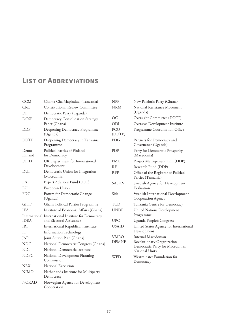# **List of Abbreviations**

| <b>CCM</b>        | Chama Cha Mapinduzi (Tanzania)                      | <b>NPP</b>           | New Patriotic Party (Ghana)                                                      |
|-------------------|-----------------------------------------------------|----------------------|----------------------------------------------------------------------------------|
| <b>CRC</b>        | <b>Constitutional Review Committee</b>              | <b>NRM</b>           | National Resistance Movement                                                     |
| DP                | Democratic Party (Uganda)                           |                      | (Uganda)                                                                         |
| <b>DCSP</b>       | Democracy Consolidation Strategy<br>Paper (Ghana)   | <b>OC</b>            | Oversight Committee (DDTP)                                                       |
|                   |                                                     | ODI                  | Overseas Development Institute                                                   |
| DDP               | Deepening Democracy Programme<br>(Uganda)           | <b>PCO</b><br>(DDTP) | Programme Coordination Office                                                    |
| <b>DDTP</b>       | Deepening Democracy in Tanzania<br>Programme        | PDG                  | Partners for Democracy and<br>Governance (Uganda)                                |
| Demo<br>Finland   | Political Parties of Finland<br>for Democracy       | PDP                  | Party for Democratic Prosperity<br>(Macedonia)                                   |
| <b>DFID</b>       | UK Department for International                     | PMU                  | Project Management Unit (DDP)                                                    |
|                   | Development                                         | <b>RF</b>            | Research Fund (DDP)                                                              |
| <b>DUI</b>        | Democratic Union for Integration<br>(Macedonia)     | <b>RPP</b>           | Office of the Registrar of Political<br>Parties (Tanzania)                       |
| EAF               | Expert Advisory Fund (DDP)                          | <b>SADEV</b>         | Swedish Agency for Development                                                   |
| EU                | European Union                                      |                      | Evaluation                                                                       |
| <b>FDC</b>        | Forum for Democratic Change<br>(Uganda)             | Sida                 | Swedish International Development<br>Cooperation Agency                          |
| <b>GPPP</b>       | Ghana Political Parties Programme                   | <b>TCD</b>           | Tanzania Centre for Democracy                                                    |
| <b>IEA</b>        | Institute of Economic Affairs (Ghana)               | <b>UNDP</b>          | <b>United Nations Development</b>                                                |
|                   | International International Institute for Democracy |                      | Programme                                                                        |
| <b>IDEA</b>       | and Electoral Assistance                            | <b>UPC</b>           | Uganda People's Congress                                                         |
| IRI               | International Republican Institute                  | <b>USAID</b>         | United States Agency for International<br>Development                            |
| IT                | <b>Information Technology</b>                       | VMRO-                | Internal Macedonian                                                              |
| JAP<br><b>NDC</b> | Joint Action Plan (Ghana)                           | <b>DPMNE</b>         | Revolutionary Organization-<br>Democratic Party for Macedonian<br>National Unity |
|                   | National Democratic Congress (Ghana)                |                      |                                                                                  |
| <b>NDI</b>        | National Democratic Institute                       |                      |                                                                                  |
| <b>NDPC</b>       | National Development Planning<br>Commission         | WFD                  | Westminster Foundation for<br>Democracy                                          |
| <b>NEX</b>        | National Execution                                  |                      |                                                                                  |
| <b>NIMD</b>       | Netherlands Institute for Multiparty<br>Democracy   |                      |                                                                                  |
| <b>NORAD</b>      | Norwegian Agency for Development<br>Cooperation     |                      |                                                                                  |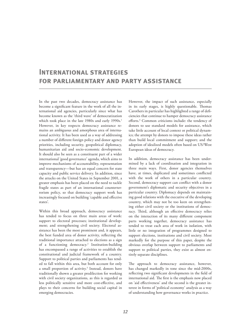### **International strategies for parliamentary and party assistance**

In the past two decades, democracy assistance has become a significant feature in the work of all the international aid agencies, particularly since what has become known as the 'third wave' of democratization which took place in the late 1980s and early 1990s.<sup>1</sup> However, in key respects democracy assistance remains an ambiguous and amorphous area of international activity. It has been used as a way of addressing a number of different foreign policy and donor agency priorities, including security, geopolitical diplomacy, humanitarian aid and socio-economic development. It should also be seen as a constituent part of a wider international 'good governance' agenda, which aims to improve mechanisms of accountability, representation and transparency—but has an equal concern for state capacity and public service delivery. In addition, since the attacks on the United States in September 2001, a greater emphasis has been placed on the need to tackle fragile states as part of an international counterterrorism policy, so that democracy support work has increasingly focused on building 'capable and effective states'.

Within this broad approach, democracy assistance has tended to focus on three main areas of work: support to electoral processes; institutional development; and strengthening civil society. Electoral assistance has been the most prominent and, it appears, the best funded area of donor activity, reflecting the traditional importance attached to elections as a sign of a functioning democracy.2 Institution-building has encompassed a range of activities to establish the constitutional and judicial framework of a country. Support to political parties and parliaments has tended to fall within this area, but both account for only a small proportion of activity.<sup>3</sup> Instead, donors have traditionally shown a greater predilection for working with civil society organizations, as this is regarded as less politically sensitive and more cost-effective, and plays to their concerns for building social capital in emerging democracies.

However, the impact of such assistance, especially in its early stages, is highly questionable. Thomas Carothers in particular has highlighted a range of deficiencies that continue to hamper democracy assistance efforts.4 Common criticisms include: the tendency of donors to use standard models for assistance, which take little account of local context or political dynamics; the attempt by donors to impose these ideas rather than build local commitment and support; and the adoption of idealized models often based on US/West European ideas of democracy.

In addition, democracy assistance has been undermined by a lack of coordination and integration in three main ways. First, donor agencies themselves have, at times, duplicated and sometimes conflicted with the work of others in a particular country. Second, democracy support can conflict with a donor government's diplomatic and security objectives in a particular country. Diplomacy depends on maintaining good relations with the executive of the developing country, which may not be too keen on strengthening either civil society or the institutions of democracy. Third, although an effective democracy relies on the interaction of its many different component parts working together, democracy assistance has tended to treat each area of work in isolation, with little or no integration of programmes designed to support elections, institutions and civil society. Most markedly for the purpose of this paper, despite the obvious overlap between support to parliaments and support to political parties, they exist as almost entirely separate disciplines.

The approach to democracy assistance, however, has changed markedly in tone since the mid-2000s, reflecting two significant developments in the field of international aid. The first is the emphasis now placed on 'aid effectiveness' and the second is the greater interest in forms of 'political economy' analysis as a way of understanding how governance works in practice.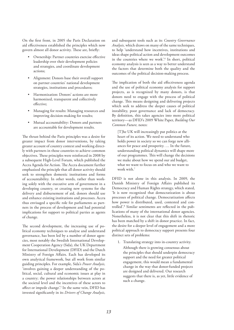On the first front, in 2005 the Paris Declaration on aid effectiveness established the principles which now govern almost all donor activity. These are, briefly:

- Ownership: Partner countries exercise effective leadership over their development policies and strategies, and coordinate development actions;
- Alignment: Donors base their overall support on partner countries' national development strategies, institutions and procedures;
- Harmonization: Donors' actions are more harmonized, transparent and collectively effective;
- Managing for results: Managing resources and improving decision-making for results;
- Mutual accountability: Donors and partners are accountable for development results.

The thrust behind the Paris principles was a desire for greater impact from donor interventions, by taking greater account of country context and working directly with partners in those countries to achieve common objectives. These principles were reinforced in 2008 by a subsequent High-Level Forum, which published the Accra Agenda for Action. The Accra document further emphasized the principle that all donor activity should seek to strengthen domestic institutions and forms of accountability. In other words, rather than working solely with the executive arm of government in a developing country, or creating new systems for the delivery and disbursement of aid, donors should use and enhance existing institutions and processes. Accra thus envisaged a specific role for parliaments as partners in the process of development and had potential implications for support to political parties as agents of change.

The second development, the increasing use of political economy techniques to analyse and understand governance, has been led by a number of donor agencies, most notably the Swedish International Development Cooperation Agency (Sida), the UK Department for International Development (DFID) and the Dutch Ministry of Foreign Affairs. Each has developed its own analytical framework, but all work from similar guiding principles. For example, Sida's *Power Analysis,* 'involves gaining a deeper understanding of the political, social, cultural and economic issues at play in a country; the power relationships between actors at the societal level and the incentives of these actors to affect or impede change'.<sup>5</sup> In the same vein, DFID has invested significantly in its *Drivers of Change Analysis,* 

and subsequent tools such as its *Country Governance Analysis,* which draws on many of the same techniques, to help 'understand how incentives, institutions and ideas shape political action and development outcomes in the countries where we work'.<sup>6</sup> In short, political economy analysis is seen as a way to better understand the factors that determine both the quality and the outcomes of the political decision-making process.

The implication of both the aid effectiveness agenda and the use of political economy analysis for support projects, as is recognized by many donors, is that donors need to engage with the process of political change. This means designing and delivering projects which seek to address the deeper causes of political instability, poor governance and lack of democracy. By definition, this takes agencies into more political territory—as DFID's 2009 White Paper, *Building Our Common Future,* notes:

[T]he UK will increasingly put politics at the heart of its action. We need to understand who holds power in society so we can forge new alliances for peace and prosperity. … In the future, understanding political dynamics will shape more of our programmes. This will change the decisions we make about how we spend our aid budget, what we want to focus on and who we want to work with.7

DFID is not alone in this analysis. In 2009, the Danish Ministry of Foreign Affairs published its Democracy and Human Rights strategy, which stated, 'It is now recognized that democratization is about processes of political change. Democratization affects how power is distributed, used, contested and controlled'.8 Similar sentiments are reflected in the publications of many of the international donor agencies. Nonetheless, it is not clear that this shift in rhetoric has been matched by a shift in donor practice. In fact, the desire for a deeper level of engagement and a more political approach to democracy support presents four distinct sets of problems:

1. Translating strategy into in-country activity. Although there is growing consensus about the principles that should underpin democracy support and the need for greater political engagement, this would mean a fundamental change in the way that donor-funded projects are designed and delivered. Our research suggests that there is, as yet, little evidence of such a change.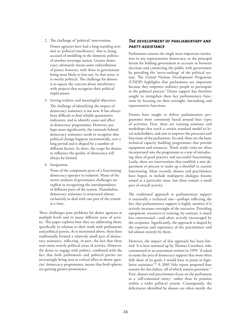2. The challenge of 'political' intervention.

 Donor agencies have had a long-standing aversion to 'political interference', that is, being accused of meddling in the domestic politics of another sovereign nation. Greater democracy ultimately means some redistribution of power, however, with those in government being most likely to lose out. In that sense, it is overtly political. The challenge for donors is to square the concern about interference with projects that recognize their political implications.

- 3. Setting realistic and meaningful objectives. The challenge of identifying the impact of democracy assistance is not new. It has always been difficult to find reliable quantitative indicators, and to identify cause and effect in democracy programmes. However, perhaps more significantly, the rationale behind democracy assistance needs to recognize that political change happens incrementally, over a long period and is shaped by a number of different factors. In short, the scope for donors to influence the quality of democracy will always be limited.
- 4. Integration.

 None of the component parts of a functioning democracy operates in isolation. Many of the newer analyses of governance challenges are explicit in recognizing the interdependence of different parts of the system. Nonetheless, democracy assistance is structured almost exclusively to deal with one part of the system at a time.

These challenges pose problems for donor agencies at multiple levels and in many different areas of activity. This paper explores how they are addressing them, specifically in relation to their work with parliaments and political parties. As is mentioned above, these have traditionally formed a relatively small part of democracy assistance, reflecting, in part, the fact that these were more overtly political areas of activity. However, the desire to engage with politics, combined with the fact that both parliaments and political parties are increasingly being seen as critical allies in donor agencies' democracy programmes, means that both spheres are gaining greater prominence.

### *The development of parliamentary and party assistance*

Parliaments remain the single most important institution in any representative democracy, as the principal forum for holding government to account in between elections and connecting the public with government by providing the 'nerve-endings' of the political system. The United Nations Development Progamme (UNDP) highlights that parliaments are important because they empower ordinary people to participate in the political process.<sup>9</sup> Donor support has therefore sought to strengthen these key parliamentary functions by focusing on their oversight, lawmaking and representative functions.

Donors have sought to deliver parliamentary programmes most commonly based around four types of activities. First, there are training seminars and workshops that teach a certain standard model to local stakeholders, and aim to improve the processes and functions of the parliament. Second, there are the basic technical capacity building programmes that provide equipment and resources. Third, study visits are often incorporated into the programme as a way of introducing ideas of good practice and successful functioning. Lastly, there are interventions that establish a new department or process to make up a shortfall in current functioning. More recently, donors and practitioners have begun to include multiparty dialogue forums aimed at a particular issue, but these remain a small part of overall activity.

The traditional approach to parliamentary support is essentially a technical one—perhaps reflecting the fact that parliamentary support is highly sensitive if it actively increases oversight of the executive. Providing equipment, resources or training, by contrast, is much less controversial—and often actively encouraged by the recipients. Significantly, the approach is shaped by the expertise and experience of the practitioners and led almost entirely by them.

However, the impact of this approach has been limited. It is best summed up by Thomas Carothers, who commented in an assessment written in 1999: 'if asked to name the area of democracy support that most often falls short of its goals, I would have to point to legislative assistance'.10 A 2005 Sida report proposed four reasons for this failure, all of which remain pertinent.<sup>11</sup> First, donors and practitioners focus on the parliament as a 'self-contained entity', rather than its position within a wider political system. Consequently, the deficiencies identified by donors are often merely the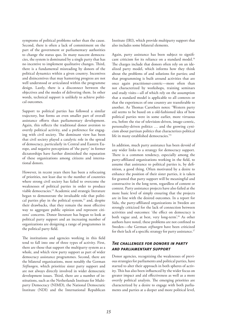symptoms of political problems rather than the cause. Second, there is often a lack of commitment on the part of the government or parliamentary authorities to change the status quo. In many nascent democracies, the system is dominated by a single party that has no incentive to implement qualitative changes. Third, there is a fundamental misreading by donors of the political dynamics within a given country. Incentives and disincentives that may hamstring progress are not well understood or articulated within the programme design. Lastly, there is a disconnect between the objectives and the modes of delivering them. In other words, technical support is unlikely to achieve political outcomes.

Support to political parties has followed a similar trajectory, but forms an even smaller part of overall assistance efforts than parliamentary development. Again, this reflects the traditional donor aversion to overtly political activity, and a preference for engaging with civil society. The dominant view has been that civil society played a catalytic role in the spread of democracy, particularly in Central and Eastern Europe, and negative perceptions of 'the party' in former dictatorships have further diminished the reputation of these organizations among citizens and international donors.

However, in recent years there has been a refocusing of priorities, not least due to the number of countries where strong civil society has failed to overcome the weaknesses of political parties in order to produce viable democracies.12 Academic and strategic literature began to demonstrate the invaluable role that political parties play in the political system, $13$  and, despite their drawbacks, that they remain the most effective way to aggregate public opinion and represent citizens' concerns. Donor literature has begun to look at political party support and an increasing number of organizations are designing a range of programmes in the political party field.

The institutions and agencies working in this field tend to fall into one of three types of activity. First, there are those that support the multiparty system as a whole, and which view party support as part of wider democracy assistance programmes. Second, there are the bilateral organizations, most notably the German *Stiftungen,* which prioritize sister party support and are not always directly involved in wider democratic development issues. Third, there are a number of institutions, such as the Netherlands Institute for Multiparty Democracy (NIMD), the National Democratic Institute (NDI) and the International Republican

Institute (IRI), which provide multiparty support that also includes some bilateral elements.

Again, party assistance has been subject to significant criticism for its reliance on a standard model.<sup>14</sup> The charges include that donors often rely on an idealized party model, which informs how they think about the problems of and solutions for parties; and that programming is built around activities that are once again practitioner-centric—more often than not characterized by workshops, training seminars and study visits—all of which rely on the assumption that a standard model is applicable to all contexts or that the experiences of one country are transferable to another. As Thomas Carothers notes: 'Western party aid seems to be based on a old-fashioned idea of how political parties were in some earlier, more virtuous era, before the rise of television-driven, image-centric, personality-driven politics … and the growing cynicism about partisan politics that characterizes political life in many established democracies.'15

In addition, much party assistance has been devoid of any wider links to a strategy for democracy support. There is a common tendency, especially among the party-affiliated organizations working in the field, to assume that assistance to political parties is, by definition, a good thing. Often motivated by a desire to enhance the position of their sister parties, it is taken for granted that party support will be meaningful and constructive in the long term, regardless of content or context. Party assistance projects have also failed at the more basic level of simply ensuring that the projects are in line with the desired outcomes. In a report for Sida, the party-affiliated organizations in Sweden are strongly criticized for the lack of connection between activities and outcomes: 'the effect on democracy is both vague and, at best, very long-term'.16 As other authors have noted, these problems are not confined to Sweden—the German *stiftungen* have been criticized for their lack of a specific strategy for party assistance.<sup>17</sup>

### *The challenges for donors in party and parliamentary support*

Donor agencies, recognizing the weaknesses of previous strategies for parliaments and political parties, have started to alter their approach in both spheres of activity. This has also been influenced by the wider focus on greater impact and aid effectiveness as well as a more overtly political analysis. The emerging priorities are characterized by a desire to engage with both parliaments and parties at a deeper and more political level,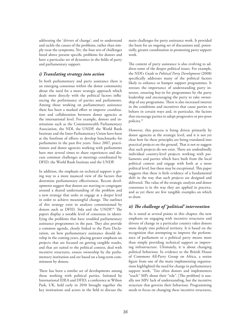addressing the 'drivers of change', and to understand and tackle the causes of the problems, rather than simply treat the symptoms. Yet, the four sets of challenges listed above present specific problems for donors and have a particular set of dynamics in the fields of party and parliamentary support.

### *i) Translating strategy into action*

In both parliamentary and party assistance there is an emerging consensus within the donor community about the need for a more strategic approach which deals more directly with the political factors influencing the performance of parties and parliaments. Among those working on parliamentary assistance there has been a marked effort to improve coordination and collaboration between donor agencies at the international level. For example, donors and institutions such as the Commonwealth Parliamentary Association, the NDI, the UNDP, the World Bank Institute and the Inter-Parliamentary Union have been at the forefront of efforts to develop benchmarks for parliaments in the past five years. Since 2007, practitioners and donor agencies working with parliaments have met several times to share experiences and discuss common challenges at meetings coordinated by DFID, the World Bank Institute and the UNDP.

In addition, the emphasis on technical support is giving way to a more nuanced view of the factors that determine parliamentary effectiveness. Recent developments suggest that donors are starting to congregate around a shared understanding of the problem and a new strategy that seeks to engage at a deeper level in order to achieve meaningful change. The outlines of this strategy exist in analyses commissioned by donors such as DFID, Sida and the UNDP.<sup>18</sup> The papers display a notable level of consensus in identifying the problems that have troubled parliamentary assistance programmes in the past. They also provide a common agenda, closely linked to the Paris Declaration, on how parliamentary assistance should develop in the coming years, placing greater emphasis on projects that are focused on getting tangible results, and that are suited to the political context, deal with incentive structures, ensure ownership by the parliamentary institution and are based on a long-term commitment by donors.

There has been a similar set of developments among those working with political parties. Initiated by International IDEA and DFID, a conference at Wilton Park, UK, held early in 2010 brought together the key institutions and actors in the field to discuss the main challenges for party assistance work. It provided the basis for an ongoing set of discussions and, potentially, greater coordination in promoting party support work.

The content of party assistance is also evolving to address some of the deeper political issues. For example, the NDI's *Guide to Political Party Development* (2008) specifically addresses many of the political factors likely to enhance or hamper support programmes. It stresses the importance of understanding party interests, ensuring buy-in for programmes by the party leadership and encouraging the party to take ownership of any programme. There is also increased interest in the conditions and incentives that cause parties to behave in certain ways and, in particular, the factors that encourage parties to adopt progressive or pro-poor policies.19

However, this process is being driven primarily by donor agencies at the strategic level, and it is not yet clear how far these principles are being translated into practical projects on the ground. That is not to suggest that such projects do not exist. There are undoubtedly individual country-level projects working with parliaments and parties which have built from the local political context and engage with both at a more political level, but these may be exceptional. This paper suggests that there is little evidence of a fundamental shift in the way that such projects are designed and delivered. The value of the strategic analysis and donor consensus is in the way they are applied in practice, and as yet there are few tangible examples on which to draw.

### *ii) The challenge of 'political' intervention*

As is noted at several points in this chapter, the new emphasis on engaging with incentive structures and drivers of change in a particular country takes donors more deeply into political territory. It is based on the recognition that attempting to improve the performance of parliament or a political party means more than simply providing technical support or improving infrastructure. Ultimately, it is about changing political behaviour. In evidence to the British House of Commons All-Party Group on Africa, a senior figure from one of the main implementing organizations highlighted the need for change in parliamentary support work, 'Too often donors and implementers "teach" MPs about their "role". [The problem] is usually not MPs' lack of understanding, but the incentive structure that governs their behaviour. Programming needs to focus on changing these incentive structures,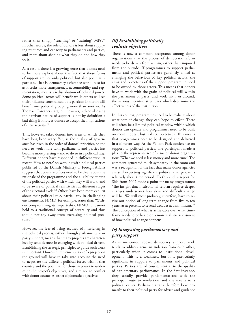rather than simply "teaching" or "training" MPs'.<sup>20</sup> In other words, the role of donors is less about supplying resources and capacity to parliaments and parties, and more about shaping what they do and how they do it.

As a result, there is a growing sense that donors need to be more explicit about the fact that these forms of support are not only political, but also potentially partisan. That is, democracy assistance work, in so far as it seeks more transparency, accountability and representation, means a redistribution of political power. Some political actors will benefit while others will see their influence constrained. It is partisan in that it will benefit one political grouping more than another. As Thomas Carothers argues, however, acknowledging the partisan nature of support is not by definition a bad thing if it forces donors to accept the implications of their activity.21

This, however, takes donors into areas of which they have long been wary. Yet, as the quality of governance has risen in the order of donors' priorities, so the need to work more with parliaments and parties has become more pressing – and to do so in a political way. Different donors have responded in different ways. A recent 'How to note' on working with political parties published by the Danish Ministry of Foreign Affairs suggests that country offices need to be clear about the rationale of the programme and the eligibility criteria of the political parties with which they will work, and to be aware of political sensitivities at different stages of the electoral cycle.22 Others have been more explicit about their political role, particularly in challenging environments. NIMD, for example, states that: 'Without compromising its impartiality, NIMD … cannot hold to a traditional concept of neutrality and thus should not shy away from exercising political pres- $\text{sure}$ <sup>23</sup>

However, the fear of being accused of interfering in the political process, either through parliamentary or party support, means that many projects are characterized by tentativeness in engaging with political drivers. Establishing the strategic principles to guide such work is important. However, implementation of a project on the ground will have to take into account the need to negotiate the different political forces within that country and the potential for those in power to undermine the project's objectives, and aim not to conflict with donor countries' other diplomatic objectives.

### *iii) Establishing politically realistic objectives*

There is now a common acceptance among donor organizations that the process of democratic reform needs to be driven from within, rather than imposed from the outside. If programmes to support parliaments and political parties are genuinely aimed at changing the behaviour of key political actors, the aims and objectives of the support programme need to be owned by those actors. This means that donors have to work with the grain of political will within the parliament or party, and work with, or around, the various incentive structures which determine the effectiveness of the institution.

In this context, programmes need to be realistic about what sort of change they can hope to effect. There will often be a limited political window within which donors can operate and programmes need to be built on more modest, but realistic objectives. This means that programmes need to be designed and delivered in a different way. At the Wilton Park conference on support to political parties, one participant made a plea to the representative of a major donor organization: 'What we need is less money and more time'. The comment generated much sympathy in the room and was a recognition of the fact that many donor agencies are still expecting significant political change over a relatively short time period. To this end, a report for Sida from 2002 made a point for many programmes: 'The insight that institutional reform requires deeper changes underscores how slow and difficult change will be. We will most probably, therefore, have to revise our notion of long-term change from five to ten years, as at present, to several decades at a minimum.'24 The conception of what is achievable over what timeframe needs to be based on a more realistic assessment of how political change happens.

### *iv) Integrating parliamentary and party support*

As is mentioned above, democracy support work tends to address items in isolation from each other, particularly when it comes to institutional development. This is a weakness, but it is particularly significant in support to parliaments and political parties. Parties are, of course, central to the quality of parliamentary performance. In the first instance, they usually provide parliamentarians with the principal route to re-election and the means to a political career. Parliamentarians therefore look primarily to their political party for advice and guidance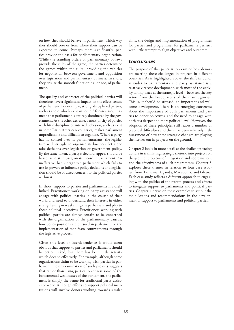on how they should behave in parliament, which way they should vote or from where their support can be expected to come. Perhaps more significantly, parties provide the basis for parliamentary organization. While the standing orders or parliamentary by-laws provide the rules of the game, the parties determine the games within the rules, providing the vehicles for negotiation between government and opposition over legislation and parliamentary business. In short, they ensure the smooth functioning, or not, of parliament.

The quality and character of the political parties will therefore have a significant impact on the effectiveness of parliament. For example, strong, disciplined parties, such as those which exist in some African states, may mean that parliament is entirely dominated by the government. At the other extreme, a multiplicity of parties with little discipline or internal cohesion, such as exist in some Latin American countries, makes parliament unpredictable and difficult to organize. Where a party has no control over its parliamentarians, the legislature will struggle to organize its business, let alone take decisions over legislation or government policy. By the same token, a party's electoral appeal should be based, at least in part, on its record in parliament. An ineffective, badly organized parliament which fails to use its powers to influence policy decisions and legislation should be of direct concern to the political parties within it.

In short, support to parties and parliaments is closely linked. Practitioners working on party assistance will engage with political parties in the course of their work, and need to understand their interests in either strengthening or weakening the parliament and play to those political incentives. Practitioners working with political parties are almost certain to be concerned with the organization of the parliamentary caucus, how policy positions are pursued in parliament or the implementation of manifesto commitments through the legislative process.

Given this level of interdependence it would seem obvious that support to parties and parliaments should be better linked, but there has been little activity which does so effectively. For example, although some organizations claim to be working with parties in parliament, closer examination of such projects suggests that rather than using parties to address some of the fundamental weaknesses of the parliament, the parliament is simply the venue for traditional party assistance work. Although efforts to support political institutions will involve donors working towards similar aims, the design and implementation of programmes for parties and programmes for parliaments persists, with little attempt to align objectives and outcomes.

### *Conclusions*

The purpose of this paper is to examine how donors are meeting these challenges in projects in different countries. As is highlighted above, the shift in donor attitudes to parliamentary and party assistance is a relatively recent development, with most of the activity taking place at the strategic level—between the key actors from the headquarters of the main agencies. This is, it should be stressed, an important and welcome development. There is an emerging consensus about the importance of both parliaments and parties to donor objectives, and the need to engage with both at a deeper and more political level. However, the adoption of these principles still leaves a number of practical difficulties and there has been relatively little assessment of how these strategic changes are playing themselves out in projects on the ground.

Chapter 2 looks in more detail at the challenges facing donors in translating strategic rhetoric into projects on the ground, problems of integration and coordination, and the effectiveness of such programmes. Chapter 3 explores these themes in relation to four case studies: from Tanzania; Uganda; Macedonia; and Ghana. Each case study reflects a different approach to engaging with the politics of the reform process and efforts to integrate support to parliaments and political parties. Chapter 4 draws on these examples to set out the main lessons and recommendations in the development of support to parliaments and political parties.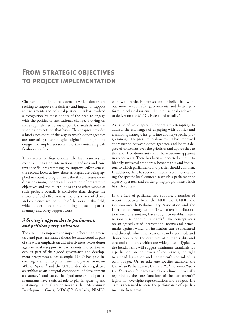### **From strategic objectives to project implementation**

Chapter 1 highlights the extent to which donors are seeking to improve the delivery and impact of support to parliaments and political parties. This has involved a recognition by most donors of the need to engage with the politics of institutional change, drawing on more sophisticated forms of political analysis and developing projects on that basis. This chapter provides a brief assessment of the way in which donor agencies are translating those strategic insights into programme design and implementation, and the continuing difficulties they face.

This chapter has four sections. The first examines the recent emphasis on international standards and context-specific programming to improve effectiveness, the second looks at how these strategies are being applied in country programmes, the third assesses coordination among donors and integration of programme objectives and the fourth looks at the effectiveness of such projects overall. It concludes that, despite the rhetoric of aid effectiveness, there is a lack of clarity and coherence around much of the work in this field, which undermines the continuing impact of parliamentary and party support work.

### *i) Strategic approaches to parliaments and political party assistance*

The attempt to improve the impact of both parliamentary and party assistance should be understood as part of the wider emphasis on aid effectiveness. Most donor agencies make support to parliaments and parties an explicit part of their good governance and development programmes. For example, DFID has paid increasing attention to parliaments and parties in recent White Papers,<sup>25</sup> and the UNDP describes legislative assemblies as an 'integral component' of development assistance,<sup>26</sup> and states that 'parliaments and parliamentarians have a critical role to play in spurring and sustaining national action towards the [Millennium Development Goals, MDGs]'.27 Similarly, NIMD's work with parties is premised on the belief that 'without more accountable governments and better performing political systems, the international endeavour to deliver on the MDGs is destined to fail'.28

As is noted in chapter 1, donors are attempting to address the challenges of engaging with politics and translating strategic insights into country-specific programming. The pressure to show results has improved coordination between donor agencies, and led to a degree of consensus over the priorities and approaches to this end. Two dominant trends have become apparent in recent years. There has been a concerted attempt to identify universal standards, benchmarks and indicators to which parliaments and parties should conform. In addition, there has been an emphasis on understanding the specific local context in which a parliament or a party operates, and on designing programmes which fit such contexts.

In the field of parliamentary support, a number of recent initiatives from the NDI, the UNDP, the Commonwealth Parliamentary Association and the Inter-Parliamentary Union (IPU), often in collaboration with one another, have sought to establish internationally recognized standards.29 The concept rests on an agreed set of international norms and benchmarks against which an institution can be measured and through which interventions can be planned, and draws heavily on the examples of human rights and electoral standards which are widely used. Typically, the benchmarks will suggest minimum standards for a parliament on the powers of committees, the right to amend legislation and parliament's control of its own budget. Or, to take one specific example, the Canadian Parliamentary Centre's *Parliamentary Report*  Card<sup>30</sup> sets out four areas which are 'almost universally regarded as the core functions of the parliament'.<sup>31</sup> legislation; oversight; representation; and budgets. The card is then used to score the performance of a parliament in these areas.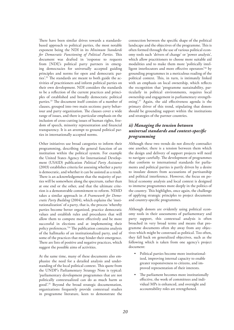There have been similar drives towards a standardsbased approach to political parties, the most notable exponent being the NDI in its *Minimum Standards for Democratic Functioning of Political Parties*. This document was drafted in 'response to requests from [NDI]'s political party partners in emerging democracies for universally accepted guiding principles and norms for open and democratic parties'.32 The standards are meant to both guide the activities of practitioners and inform political parties on their own development. NDI considers the standards to be a reflection of the current practices and principles of established and broadly democratic political parties.33 The document itself consists of a number of clauses, grouped into two main sections: party behaviour and party organization. The clauses cover a wide range of issues, and there is particular emphasis on the inclusion of cross-cutting issues of human rights, freedom of speech, minority representation and financial transparency. It is an attempt to ground political parties in internationally accepted norms.

Other initiatives use broad categories to inform their programming, describing the general function of an institution within the political system. For example the United States Agency for International Development (USAID) publication *Political Party Assistance* (2003) establishes criteria for assessing whether a party is democratic, and whether it can be assisted as a result. There is an acknowledgement that the majority of parties will be somewhere along the spectrum, rather than at one end or the other, and that the ultimate criterion is a demonstrable commitment to reform. NIMD takes a similar approach in *A Framework for Democratic Party Building* (2004), which explains the 'institutionalization' of a party, that is, the process 'whereby parties become better organized, practice democratic values and establish rules and procedures that will allow them to compete more effectively and be more successful in elections and at implementing their policy preferences.'34 The publication contains analysis of the hallmarks of an institutionalized party, and of some of the practices that may hinder their emergence. There are lists of positive and negative practices, which suggest the possible aims of activities.

At the same time, many of these documents also emphasize the need for a detailed analysis and understanding of the local political context. This quote from the UNDP's Parliamentary Strategy Note is typical: 'parliamentary development programmes that are not politically contextualized can do as much harm as good'.35 Beyond the broad strategic documentation, organizations frequently provide contextual studies in programme literature, keen to demonstrate the connection between the specific shape of the political landscape and the objectives of the programme. This is often formed through the use of various political economy tools such 'drivers of change' or 'power analysis', which allow practitioners to choose more suitable aid modalities and to make them more 'politically intelligent interlocutors and more effective operators'36 by grounding programmes in a meticulous reading of the political context. This, in turn, is intimately linked with an emphasis on local ownership, which reflects the recognition that 'programme sustainability, particularly in political environments, requires local ownership and engagement in parliamentary strengthening'.37 Again, the aid effectiveness agenda is the primary driver of this trend, stipulating that donors should be grounding support within the institutions and strategies of the partner countries.

### *ii) Managing the tension between universal standards and context-specific programming*

Although these two trends do not directly contradict one another, there is a tension between them which the design and delivery of support projects will need to navigate carefully. The development of programmes that conform to international standards for parliaments and political parties is partly driven by a desire to insulate donors from accusations of partisanship and political interference. However, the focus on political economy analysis and local context is designed to immerse programmes more deeply in the politics of the country. This highlights, once again, the challenge of applying strategic principles to project documents and country-specific programmes.

Although donors are evidently using political economy tools in their assessments of parliamentary and party support, this contextual analysis is often broached in very broad terms and means that programme documents often shy away from any objectives which might be construed as political. Too often, they fall back on generalized objectives, such as the following which is taken from one agency's project document:

- Political parties become more institutionalized, improving internal capacity to enable greater responsiveness to citizens, and improved representation of their interests.
- The parliament becomes more institutionally effective, the work of committees and individual MPs is enhanced, and oversight and accountability roles are strengthened.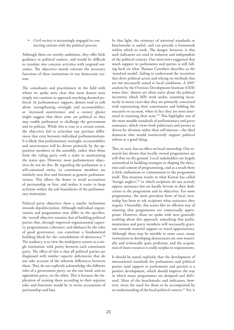• Civil society is increasingly engaged in connecting citizens with the political process.

Although these are worthy ambitions, they offer little guidance or political context, and would be difficult to translate into concrete activities with targeted outcomes. The objectives merely reiterate the necessary functions of these institutions in any democratic system.

The consultants and practitioners in the field with whom we spoke were clear that most donors were simply too cautious to approach anything deemed political. In parliamentary support, donors tend to talk about 'strengthening oversight and accountability', or 'increased assertiveness' and a cursory glance might suggest that these aims are political as they may enable parliament to challenge the government and its policies. While this is true to a certain extent, the objectives fail to articulate any partisan differences that exist between individual parliamentarians. It is likely that parliamentary oversight, accountability and assertiveness will be driven primarily by the opposition members in the assembly, rather than those from the ruling party with a stake in maintaining the status quo. However, most parliamentary objectives do not do this. By regarding the parliament as a self-contained entity, its constituent members are similarly seen first and foremost as generic parliamentarians. This allows the donor to avoid accusations of partisanship or bias, and makes it easier to keep activities within the safe boundaries of the parliamentary institution.

Political party objectives show a similar inclination towards depoliticization. Although individual organizations and programmes may differ in the specifics, the 'overall objective remains that of building political parties that, through improved organizational capacity, programmatic coherence, and abidance by the rules of good governance, can constitute a fundamental building block for the consolidation of democracy.'38 The tendency is to view the multiparty system as a single institution, with parity between each constituent party. The effect of this is that all political parties are diagnosed with similar capacity deficiencies that do not take account of the inherent differences between them. They do not explicitly acknowledge the different roles of a government party, on the one hand, and an opposition party, on the other. This is because the implication of treating them according to their separate roles and functions would be to invite accusations of partisanship and bias.

In that light, the existence of universal standards or benchmarks is useful, and can provide a framework within which to work. The danger, however, is that such indicators are used in isolation and independent of the political context. Our interviews suggested that much support to parliaments and parties is still falling back on what Thomas Carothers describes as the 'standard model', failing to understand the incentives that drive political actors and relying on methods that are not necessarily suited to local conditions. A 2007 analysis by the Overseas Development Institute (ODI) states that: 'donors are often naive about the political incentives which MPs work under, assuming incorrectly in many cases that they are primarily concerned with representing their constituents and holding the executive to account, when in fact they are most interested in retaining their seats.'39 This highlights one of the most notable standards of parliamentary and party assistance, which views both politicians and parties as driven by altruism rather than self-interest—the ideal democrat who would instinctively support political reform as a good thing.

This, in turn, has an effect on local ownership. Our research has shown that locally owned programmes are still thin on the ground. Local stakeholders are largely uninvolved in building strategies or shaping the direction and content of programming, and as a result there is little enthusiasm or commitment to the programme itself. This situation results in what Kumar has called 'benign neglect',<sup>40</sup> in which recipients do not actively oppose assistance but are hardly fervent in their dedication to the programme and its objectives. For some programmes, the most prevalent form of local ownership has been to ask recipients what assistance they require. Ostensibly, this seems like an efficient way of ensuring that programmes are contextually appropriate. However, those we spoke with were generally scathing about this approach, remarking that parliamentarians and party members will necessarily gravitate towards material support or travel opportunities. Although these may be suitable in some cases, many institutions in developing democracies are now materially and technically quite proficient, and the acquisition of more resources is really surplus to requirements.

It should be stated explicitly that the development of international standards for parliaments and political parties (and support to parliaments and parties) is a positive development, which should improve the way in which many programmes are designed and delivered. Most of the benchmarks and indicators, however, stress the need for them to be accompanied by an understanding of the local political context.<sup>41</sup> Yet, it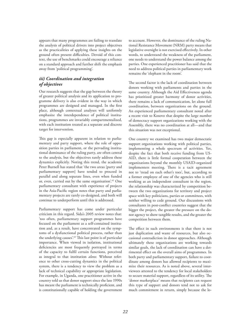appears that many programmes are failing to translate the analysis of political drivers into project objectives as the practicalities of applying these insights on the ground often present difficulties. Devoid of this context, the use of benchmarks could encourage a reliance on a standard approach and further shift the emphasis away from 'political programming'.

### *iii) Coordination and integration of objectives*

Our research suggests that the gap between the theory of greater political analysis and its application to programme delivery is also evident in the way in which programmes are designed and managed. In the first place, although contextual analyses will uniformly emphasize the interdependence of political institutions, programmes are invariably compartmentalized, with each institution treated as a separate and discrete target for intervention.

This gap is especially apparent in relation to parliamentary and party support, where the role of opposition parties in parliament, or the pervading institutional dominance of the ruling party, are often central to the analysis, but the objectives rarely address these dynamics explicitly. Noting this trend, the academic Peter Burnell has stated that 'the two areas [party and parliamentary support] have tended to proceed in parallel and along separate lines, even when funded or, even, carried out by the same organisation'.<sup>42</sup> One parliamentary consultant with experience of projects in the Asia-Pacific region notes that party and parliamentary projects are rarely co-designed, and both will continue to underperform until this is addressed.

Parliamentary support has come under particular criticism in this regard. Sida's 2005 review notes that: 'too often, parliamentary support programmes have focused on the parliament as a self-contained institution and, as a result, have concentrated on the symptoms of a dysfunctional political process, rather than the underlying causes'.43 This last point is of particular importance. When viewed in isolation, institutional deficiencies are most frequently portrayed in terms of the capacity to fulfil certain functions, perceived as integral to that institution *alone*. Without reference to other cross-cutting dynamics in the political system, there is a tendency to view the problem as a lack of technical capability or appropriate legislation. For example, in Uganda, one practitioner active in the country told us that donor support since the late 1990s has meant the parliament is technically proficient, and is constitutionally capable of holding the government to account. However, the dominance of the ruling National Resistance Movement (NRM) party means that legislative oversight is not exercised effectively. In other words, to understand the weakness of the parliament, one needs to understand the power balance among the parties. One experienced practitioner has said that the need to address political parties in parliamentary work remains the 'elephant in the room'.

The second factor is the lack of coordination between donors working with parliaments and parties in the same country. Although the Aid Effectiveness agenda has prioritized greater harmony of donor activities, there remains a lack of communication, let alone full coordination, between organizations on the ground. An experienced parliamentary consultant noted after a recent visit to Kosovo that despite the large number of democracy support organizations working with the Assembly, there was no coordination at all—and that this situation was not exceptional.

One country we examined has two major democratic support organizations working with political parties, implementing a whole spectrum of activities. Yet, despite the fact that both receive funding from US-AID, there is little formal cooperation between the organizations beyond the monthly USAID-organized implementers meeting. There is a tacit agreement not to 'tread on each other's toes', but, according to a former employee of one of the agencies who is still working as an independent consultant in the region, the relationship was characterized by competition between the two organizations for territory and project space with key politicians, parties or committees, with neither willing to cede ground. Our discussions with consultants in post-conflict countries suggest that the bigger the project, the greater the pressure on the donor agency to show tangible results, and the greater the competition between them.

The effect in such environments is that there is not just duplication and waste of resources, but also occasional contradiction in donor approaches. Although ultimately these organizations are working towards similar goals, the lack of coordination can have a detrimental effect on the overall aims of programmes. In both party and parliamentary support, failure to coordinate among donors has allowed recipients to maximize their resources. As is noted above, several interviewees attested to the tendency for local stakeholders to secure material support, regardless of its utility. The 'donor marketplace' means that recipients can request this type of support and donors tend not to ask for much commitment in return, simply because the lo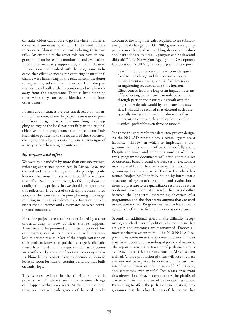cal stakeholders can choose to go elsewhere if material comes with too many conditions. In the words of one interviewee, 'donors are frequently chasing their own tails'. An example of the effect this can have on programming can be seen in monitoring and evaluation. In one extensive party support programme in Eastern Europe, someone involved with the programme indicated that effective means for capturing institutional change were hamstrung by the reluctance of the donor to request any substantive information from the parties, lest they baulk at the imposition and simply walk away from the programme. There is little stopping them when they can secure identical support from other donors.

In such circumstances projects can develop a momentum of their own, where the project team is under pressure from the agency to achieve something. By struggling to engage the local partners fully in the original objectives of the programme, the project team finds itself either pandering to the requests of those partners, changing those objectives or simply measuring signs of activity rather than tangible outcomes.

### *iv) Impact and effect*

We were told candidly by more than one interviewee, reflecting experience of projects in Africa, Asia, and Central and Eastern Europe, that the principal problem was that most projects were 'rubbish', or words to that effect. Such was the strength of feeling about the quality of many projects that we should perhaps finesse this reflection. The effect of the design problems noted above can be summarized as poor planning and design resulting in unrealistic objectives, a focus on outputs rather than outcomes and a mismatch between activities and outcomes.

First, few projects seem to be underpinned by a clear understanding of how political change happens. They seem to be premised on an assumption of linear progress, so that certain activities will inevitably lead to certain results. Most of the people working on such projects know that political change is difficult, messy, haphazard and rarely quick—such assumptions are reinforced by the use of political economy analysis. Nonetheless, project planning documents seem to leave no room for such uncertainty, and are thus built on faulty logic.

This is most evident in the timeframe for such projects, which always seems to assume change can happen within 2–3 years. At the strategic level, there is a clear acknowledgement of the need to take account of the long timescales required to see substantive political change. DFID's 2007 governance policy paper states clearly that: 'building democratic values and institutions takes time … progress can be slow and difficult'.44 The Norwegian Agency for Development Cooperation (NORAD) is more explicit in its report:

Few, if any, aid interventions ever provide 'quick fixes' to a challenge and this certainly applies to parliamentary strengthening. Parliamentary strengthening requires a long time horizon. Effectiveness, let alone long-term impact, in terms of functioning parliaments can only be achieved through patient and painstaking work over the long run. A decade would by no means be excessive. It should be recalled that electoral cycles are typically 4–5 years. Hence, the duration of an intervention over two electoral cycles would be justified, preferably even three or more.<sup>45</sup>

Yet these insights rarely translate into project design. As the NORAD report hints, electoral cycles are a favourite 'window' in which to implement a programme, yet this amount of time is woefully short. Despite the broad and ambitious wording of objectives, programme documents will often contain a set of outcomes based around the next set of elections, a maximum of four or five years away. Democracy programming has become what Thomas Carothers has termed 'projectized',<sup>46</sup> that is, bound by bureaucratic structures of systematic planning and evaluation there is a pressure to see quantifiable results as a return on donors' investment. As a result, there is a conflict between the long-term, overarching objectives of a programme, and the short-term outputs that are used to measure success. Programmes need to have a manageable timeframe to fit into the evaluation culture.

Second, an additional effect of the difficulty recognizing the challenges of political change means that activities and outcomes are mismatched. Donors almost set themselves up to fail. The 2010 NORAD report draws attention to the concrete problems that can arise from a poor understanding of political dynamics. The report characterizes training of parliamentarians as a 'Sisyphean Task': once one batch of MPs has been trained, 'a large proportion of them will lose the next election and be replaced by novices … the turnover rate of parliamentarians often reaches 30–50 per cent, and sometimes even more'.<sup>47</sup> Two issues arise from this observation. First, it demonstrates the pitfalls of a narrow institutional view of democratic assistance. By wanting to affect the parliament in isolation, programmes miss the other elements of the system that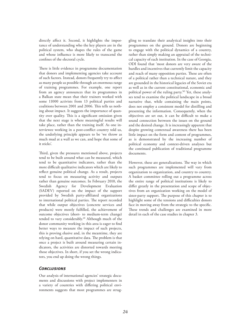directly affect it. Second, it highlights the importance of understanding who the key players are in the political system, who shapes the rules of the game and whose influence is more likely to transcend the confines of the electoral cycle.

There is little evidence in programme documentation that donors and implementing agencies take account of such factors. Instead, donors frequently try to affect as many people as possible through an enormous range of training programmes. For example, one report from an agency announces that its programmes in a Balkan state mean that their trainers worked with some 11000 activists from 13 political parties and coalitions between 2001 and 2006. This tells us nothing about impact. It suggests the importance of quantity over quality. This is a significant omission given that the next stage is where meaningful results will take place, rather than the training itself. As one interviewee working in a post-conflict country told us, the underlying principle appears to be 'we throw as much mud at a wall as we can, and hope that some of it sticks'.

Third, given the pressures mentioned above, projects tend to be built around what can be measured, which tend to be quantitative indicators, rather than the more difficult qualitative indicators which are likely to reflect genuine political change. As a result, projects tend to focus on measuring activity and outputs rather than genuine outcomes. In February 2010, the Swedish Agency for Development Evaluation (SADEV) reported on the impact of the support provided by Swedish party-affiliated organizations to international political parties. The report recorded that while output objectives (concrete services and products) were mostly fulfilled, the achievement of outcome objectives (short- to medium-term change) tended to vary considerably.<sup>48</sup> Although much of the donor community working in this area is eager to find better ways to measure the impact of such projects, this is proving elusive and, in the meantime, they are relying on hard, quantitative data. The problem is that once a project is built around measuring certain indicators, the activities are distorted towards meeting those objectives. In short, if you set the wrong indicators, you end up doing the wrong things.

### *Conclusions*

Our analysis of international agencies' strategic documents and discussions with project implementers in a variety of countries with differing political environments suggests that most programmes are strug-

gling to translate their analytical insights into their programmes on the ground. Donors are beginning to engage with the political dynamics of a country, rather than simply making an appraisal of the technical capacity of each institution. In the case of Georgia, ODI found that 'most donors are very aware of the hurdles and incentives that currently limit the capacity and reach of many opposition parties. These are often of a political rather than a technical nature, and they are grounded in the historical legacies of the Soviet era as well as in the current constitutional, economic and political power of the ruling party.'49 Yet, these analyses tend to examine the political landscape in a broad narrative that, while containing the main points, does not employ a consistent model for distilling and presenting the information. Consequently, when the objectives are set out, it can be difficult to make a sound connection between the issues on the ground and the desired change. It is increasingly apparent that despite growing contextual awareness there has been little impact on the form and content of programmes, as is demonstrated by the increasing number of political economy and context-driven analyses but the continued publication of traditional programme documents.

However, these are generalizations. The way in which such programmes are implemented will vary from organization to organization, and country to country. A basket committee rolling out a programme across the entire range of political institutions is likely to differ greatly in the presentation and scope of objectives from an organization working on the model of sister-party support. The purpose of this chapter is to highlight some of the tensions and difficulties donors face in moving away from the strategic to the specific. These trends and challenges are examined in more detail in each of the case studies in chapter 3.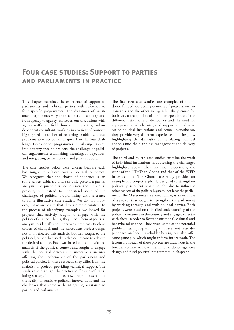### **Four case studies: Support to parties and parliaments in practice**

This chapter examines the experience of support to parliaments and political parties with reference to four specific programmes. The dynamics of assistance programmes vary from country to country and from agency to agency. However, our discussions with agency staff in the field, those at headquarters, and independent consultants working in a variety of contexts highlighted a number of recurring problems. These problems were set out in chapter 1 in the four challenges facing donor programmes: translating strategy into country-specific projects; the challenge of political engagement; establishing meaningful objectives; and integrating parliamentary and party support.

The case studies below were chosen because each has sought to achieve overtly political outcomes. We recognize that the choice of countries is, in some senses, arbitrary and can only present a partial analysis. The purpose is not to assess the individual projects, but instead to understand some of the challenges of political programming with reference to some illustrative case studies. We do not, however, make any claim that they are representative. In the process of identifying examples, we looked for projects that actively sought to engage with the politics of change. That is, they used a form of political analysis to identify the underlying problems (such as drivers of change), and the subsequent project design not only reflected this analysis, but also sought to use political, rather than solely technical, means to achieve the desired change. Each was based on a sophisticated analysis of the political context and sought to engage with the political drivers and incentive structures affecting the performance of the parliament and political parties. In these respects, they differ from the majority of projects providing technical support. The studies also highlight the practical difficulties of translating strategy into practice, how programmes handle the reality of sensitive political interventions and the challenges that come with integrating assistance to parties and parliaments.

The first two case studies are examples of multidonor funded 'deepening democracy' projects: one in Tanzania and the other in Uganda. The premise for both was a recognition of the interdependence of the different institutions of democracy and the need for a programme which integrated support to a diverse set of political institutions and actors. Nonetheless, they provide very different experiences and insights, highlighting the difficulty of translating political analysis into the planning, management and delivery of projects.

The third and fourth case studies examine the work of individual institutions in addressing the challenges highlighted above. They examine, respectively, the work of the NIMD in Ghana and that of the WFD in Macedonia. The Ghana case study provides an example of a project explicitly designed to strengthen political parties but which sought also to influence other aspects of the political system, not least the parliament. The Macedonia case, meanwhile, is an example of a project that sought to strengthen the parliament by working through and with political parties. Both projects were based on a detailed understanding of the political dynamics in the country and engaged directly with them in order to foster institutional, cultural and behavioural change. They reveal some of the potential problems such programming can face, not least dependence on local stakeholder buy-in, but also offer some principles which might inform future work. The lessons from each of these projects are drawn out in the broader context of how international donor agencies design and fund political programmes in chapter 4.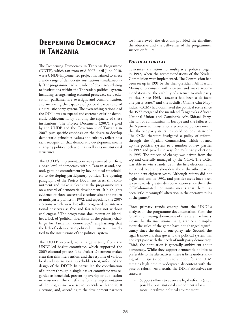### **Deepening Democracy in Tanzania**

The Deepening Democracy in Tanzania Programme (DDTP), which ran from mid-2007 until June 2010, was a UNDP-implemented project that aimed to affect a wide range of democratic institutions simultaneously. The programme had a number of objectives relating to institutions within the Tanzanian political system, including strengthening electoral processes, civic education, parliamentary oversight and communication, and increasing the capacity of political parties and of a pluralistic party system. The overarching rationale of the DDTP was to expand and entrench existing democratic achievements by building the capacity of these institutions. The Project Document (2007), signed by the UNDP and the Government of Tanzania in 2007, puts specific emphasis on the desire to develop democratic 'principles, values and culture', reflecting a tacit recognition that democratic development means changing political behaviour as well as its institutional structures.

The DDTP's implementation was premised on: first, a basic level of democracy within Tanzania; and, second, genuine commitment by key political stakeholders to developing participatory politics. The opening paragraphs of the Project Document stress this commitment and make it clear that the programme rests on a record of democratic development. It highlights evidence of three successful elections since the return to multiparty politics in 1992, and especially the 2005 elections which were broadly recognized by international observers as free and fair (albeit not without challenges).50 The programme documentation identifies a lack of 'political liberalism' as the primary challenge for Tanzanian democracy, $51$  emphasizing that the lack of a democratic political culture is ultimately tied to the institutions of the political system.

The DDTP evolved, to a large extent, from the UNDP-led basket committee, which supported the 2005 electoral process. The Project Document makes clear that this intervention, and the response of various local and international stakeholders to it, informed the design of the DDTP. In particular, the coordination of support through a single basket committee was regarded as beneficial, preventing overlap or duplication in assistance. The timeframe for the implementation of the programme was set to coincide with the 2010 elections, and, according to the development partners we interviewed, the elections provided the timeline, the objective and the bellwether of the programme's success or failure.

### *Political context*

Tanzania's transition to multiparty politics began in 1992, when the recommendations of the Nyalali Commission were implemented. The Commission had been set up in 1991 by the then-president, Ali Hassan Mwinyi, to consult with citizens and make recommendations on the viability of a return to multiparty politics. Since 1963, Tanzania had been a de facto one-party state,<sup>52</sup> and the socialist Chama Cha Mapinduzi (CCM) had dominated the political scene since the 1977 merger of the mainland Tanganyika African National Union and Zanzibar's Afro-Shirazi Party. The fall of communism in Europe and the failures of the Nyerere administration's economic policies meant that the one party structures could not be sustained.<sup>53</sup> The CCM therefore instigated a policy of reform, through the Nyalali Commission, which opened up the political system to a number of new parties in 1992 and paved the way for multiparty elections in 1995. The process of change was driven from the top and carefully managed by the CCM. The CCM was able to win a landslide in the first elections, and remained head and shoulders above the other parties for the next eighteen years. Although reform did not begin and end in 1992, and positive steps have been taken towards greater democratization since then, the CCM-dominated continuity means that there has been little 'meaningful alteration in the operative rules of the game'.54

Three primary trends emerge from the UNDP's analyses in the programme documentation. First, the CCM's continuing dominance of the state machinery means that the institutions that guarantee and implement the rules of the game have not changed significantly since the days of one-party rule. Second, the legal framework that governs the political system has not kept pace with the needs of multiparty democracy. Third, the population is generally ambivalent about democracy. While they support democratic politics as preferable to the alternatives, there is little understanding of multiparty politics and support for the CCM remains high despite widespread discontent with the pace of reform. As a result, the DDTP objectives are stated as:

Support efforts to advocate legal reforms (and, possibly, constitutional amendments) for a more liberalized political environment;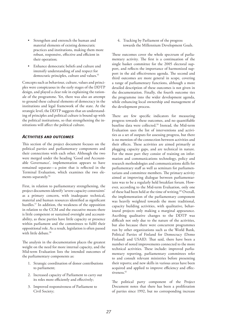- Strengthen and entrench the human and material elements of existing democratic practices and institutions, making them more robust, responsive, effective and efficient in their operation;
- Enhance democratic beliefs and culture and intensify understanding of and respect for democratic principles, culture and values.<sup>55</sup>

Concepts such as behaviour, culture, values and principles were conspicuous in the early stages of the DDTP design, and played a clear role in explaining the rationale of the programme. Yet, there was also an attempt to ground these cultural elements of democracy in the institutions and legal framework of the state. At the strategic level, the DDTP suggests that an understanding of principles and political culture is bound up with the political institutions, so that strengthening the institutions will affect the political culture.

### *Activities and outcomes*

This section of the project document focuses on the political parties and parliamentary components and their connections with each other. Although the two were merged under the heading 'Good and Accountable Governance', implementation appears to have remained separate—a point that is reflected in the Terminal Evaluation, which examines the two elements separately.<sup>56</sup>

First, in relation to parliamentary strengthening, the project documents identify 'severe capacity constraints' as a primary concern, with inadequate technical, material and human resources identified as significant hurdles.57 In addition, the weakness of the opposition in relation to the CCM and the executive means there is little competent or sustained oversight and accountability, as these parties have little capacity or presence within parliament and the committees to fulfil their oppositional role. As a result, legislation is often passed with little debate.<sup>58</sup>

The analysis in the documentation places the greatest weight on the need for more internal capacity, and the Mid-term Evaluation lists the intended outcomes of the parliamentary components as:

- 1. Strategic coordination of donor contributions to parliament;
- 2. Increased capacity of Parliament to carry out its roles more efficiently and effectively;
- 3. Improved responsiveness of Parliament to Civil Society;

4. Tracking by Parliament of the progress towards the Millennium Development Goals.

These outcomes cover the whole spectrum of parliamentary activity. The first is a continuation of the single basket committee for the 2005 electoral support, and reflects the importance of harmonized support in the aid effectiveness agenda. The second and third outcomes are more general in scope, covering a range of parliamentary functions, although a more detailed description of these outcomes is not given in the documentation. Finally, the fourth outcome ties the programme into the wider development agenda, while enhancing local ownership and management of the development process.

There are few specific indicators for measuring progress towards these outcomes, and no quantifiable baseline data were collected.59 Instead, the Mid-term Evaluation uses the list of interventions and activities as a set of outputs for assessing progress, but there is no mention of the connection between activities and their effects. These activities are aimed primarily at plugging capacity gaps, and are technical in nature. For the most part they consist of training on information and communications technology, policy and research methodologies and communications skills for parliamentary staff as well as seminars for parliamentarians and committee members. The primary activity aimed at improving dialogue between parliamentarians was to be a regularly held breakfast forum. However, according to the Mid-term Evaluation, only one of these had been held at the time of writing.<sup>60</sup> Overall, the implementation of the parliamentary component was heavily weighted towards the more traditional, capacity building activities, with qualitative, behavioural projects only making a marginal appearance. Ascribing qualitative changes to the DDTP was difficult not only due to the nature of the activities, but also because there were concurrent programmes run by other organizations such as the World Bank, Political Parties of Finland for Democracy (Demo Finland) and USAID. That said, there have been a number of noted improvements connected to the more technical activities. These include: improved parliamentary reporting, parliamentary committees refer to and consult relevant ministries before presenting their reports; and new skills in various areas have been acquired and applied to improve efficiency and effectiveness.<sup>61</sup>

The political party component of the Project Document notes that there has been a proliferation of parties since 1992, but no corresponding increase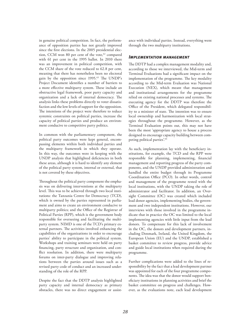in genuine political competition. In fact, the performance of opposition parties has not greatly improved since the first elections. In the 2005 presidential election, CCM won 80 per cent of the vote,<sup>62</sup> compared with 61 per cent in the 1995 ballot. In 2010 there was an improvement in political competition, with the CCM share of the vote reduced to 62.8 per cent, meaning that there has nonetheless been no electoral gain by the opposition since 1995.<sup>63</sup> The UNDP's Project Document identifies a number of barriers to a more effective multiparty system. These include an obstructive legal framework, poor party capacity and organization and a lack of internal democracy. The analysis links these problems directly to voter dissatisfaction and the low levels of support for the opposition. The intentions of the project were therefore to reduce systemic constraints on political parties, increase the capacity of political parties and produce an environment conducive to competitive party politics.

In common with the parliamentary component, the political party outcomes were kept general, encompassing elements within both individual parties and the multiparty framework in which they operate. In this way, the outcomes were in keeping with the UNDP analysis that highlighted deficiencies in both these areas, although it is hard to identify any element of the political party system, internal or external, that is not covered by these objectives.

Throughout the political party component the emphasis was on delivering interventions at the multiparty level. This was to be achieved through two local institutions: the Tanzania Centre for Democracy (TCD), which is owned by the parties represented in parliament and aims to create an environment conducive to multiparty politics; and the Office of the Registrar of Political Parties (RPP), which is the government body responsible for overseeing and facilitating the multiparty system. NIMD is one of the TCD's primary external partners. The activities involved enhancing the capabilities of the organizations in order to encourage parties' ability to participate in the political system. Workshops and training seminars were held on party financing, party structure and organization, and conflict resolution. In addition, there were multiparty forums on inter-party dialogue and improving relations between the parties around issues such as a revised party code of conduct and an increased understanding of the role of the RPP.

Despite the fact that the DDTP analysis highlighted party capacity and internal democracy as primary obstacles, there was no direct engagement or assistance with individual parties. Instead, everything went through the two multiparty institutions.

#### *Implementation management*

The DDTP had a complex management modality and, according to those we interviewed, the Mid-term and Terminal Evaluations had a significant impact on the implementation of the programme. The key modality according to the Mid-term Evaluation was National Execution (NEX), which meant that management and institutional arrangements for the programme relied on existing national processes and systems. The executing agency for the DDTP was therefore the Office of the President, which delegated responsibility to a minister of state. The intention was to ensure local ownership and harmonization with local strategies throughout the programme. However, as the Terminal Evaluation points out, this may not have been the most 'appropriate agency to house a process designed to encourage capacity building between competing political parties'.64

As such, implementation lay with the beneficiary institutions, for example, the TCD and the RPP were responsible for planning, implementing, financial management and reporting progress of the party components, and the UNDP provided administration and handled the entire budget through its Programme Coordination Office (PCO). In other words, control and management of the programme rested with the local institutions, with the UNDP taking the role of administrator and facilitator. In addition, an Oversight Committee (OC) was created which included lead donor agencies, implementing bodies, the government and two independent institutions. However, our interviews with those involved in the programme indicate that in practice the OC was limited to the local implementing agencies with little input from the lead donors. To compensate for this lack of involvement in the OC, the donors and development partners, including Denmark, Ireland, the United Kingdom, the European Union (EU) and the UNDP, established a basket committee to review progress, provide advice and guide local institutions when required during the programme.

Further complications were added to the lines of responsibility by the fact that a lead development partner was appointed for each of the four programme components. The idea was that the donor would support beneficiary institutions in planning activities and brief the basket committee on progress and challenges. However, as the evaluations note, each lead development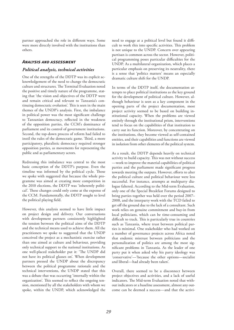partner approached the role in different ways. Some were more directly involved with the institutions than others.

### *Analysis and assessment*

#### *Political analysis, technical activities*

One of the strengths of the DDTP was its explicit acknowledgement of the need to change the democratic culture and structures. The Terminal Evaluation noted the positive and timely nature of the programme, stating that 'the vision and objectives of the DDTP were and remain critical and relevant to Tanzania's continuing democratic evolution'. This is seen in the main themes of the UNDP's analysis. First, the imbalance in political power was the most significant challenge to Tanzanian democracy, reflected in the weakness of the opposition parties, the CCM's dominance of parliament and its control of government institutions. Second, the top-down process of reform had failed to instil the rules of the democratic game. Third, a more participatory, pluralistic democracy required stronger opposition parties, as movements for representing the public and as parliamentary actors.

Redressing this imbalance was central to the most basic conception of the DDTP's purpose. Even the timeline was informed by the political cycle. Those we spoke with suggested that because the whole programme was aimed at creating more competition in the 2010 elections, the DDTP was 'inherently political'. These changes could only come at the expense of the CCM. Fundamentally, the DDTP sought to level the political playing field.

However, this analysis seemed to have little impact on project design and delivery. Our conversations with development partners consistently highlighted the tension between the political aims of the DDTP and the technical means used to achieve them. All the practitioners we spoke to suggested that the UNDP conceived the project as a mechanistic exercise rather than one aimed at culture and behaviour, providing only technical support to the national institutions. As one well-placed stakeholder put it: 'The UNDP did not have its political glasses on'. When development partners pressed the UNDP about the discrepancy between the political programme rationale and the technical interventions, the UNDP stated that this was a debate that was occurring 'internally within the organization'. This seemed to reflect the ongoing tension, mentioned by all the stakeholders with whom we spoke, within the UNDP, which acknowledged the

need to engage at a political level but found it difficult to work this into specific activities. This problem is not unique to the UNDP. Concern over appearing partisan is common across the sector. However, political programming poses particular difficulties for the UNDP. As a multilateral organization, which places a particular emphasis on preserving its neutrality, there is a sense that 'politics matters' means an especially dramatic culture shift for the UNDP.

In terms of the DDTP itself, the documentation attempts to place political institutions as the key ground for the development of political culture. However, although behaviour is seen as a key component in the opening parts of the project documentation, most project activity seemed to be based on building institutional capacity. When the problems are viewed entirely through the institutional prism, interventions tend to focus on the capabilities of that institution to carry out its function. Moreover, by concentrating on the institutions, they become viewed as self-contained entities, and their capabilities and functions are viewed in isolation from other elements of the political system.

As a result, the DDTP depends heavily on technical activity to build capacity. This was not without success —work to improve the material capabilities of political parties and the parliament made significant progress towards meeting the outputs. However, efforts to alter the political culture and political behaviour were less successful. For instance, attempts at multiparty dialogue faltered. According to the Mid-term Evaluation, only one of the Special Breakfast Forums designed to bring parties together was held over the period 2007– 2008, and the interparty work with the TCD failed to get off the ground due to the lack of a consultant. Such work relies on genuine commitment and buy-in from local politicians, which can be time-consuming and difficult to track. This is particularly true in countries such as Tanzania, where trust between political parties is minimal. One stakeholder who had worked on a number of governance projects across Africa noted that endemic mistrust between politicians and the personalization of politics are among the most significant problems in Tanzania. As the leader of one party put it when asked why his party ideology was 'conservative'—'because the other options—socialist and liberal—had already been taken'.

Overall, there seemed to be a disconnect between project objectives and activities, and a lack of useful indicators. The Mid-term Evaluation noted that without indicators or a baseline assessment, almost any outcome can be deemed a success—and that the activi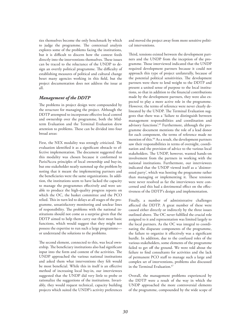ties themselves become the only benchmark by which to judge the programme. The contextual analysis explores some of the problems facing the institutions, but it is difficult to discern how the context feeds directly into the interventions themselves. These issues can be traced to the reluctance of the UNDP to design an overtly political programme. The difficulty of establishing measures of political and cultural change beset many agencies working in this field, but the project documentation does not address the issue at all.

#### *Management of the DDTP*

The problems in project design were compounded by the structure for managing the project. Although the DDTP attempted to incorporate effective local control and ownership over the programme, both the Midterm Evaluation and the Terminal Evaluation drew attention to problems. These can be divided into four broad areas:

First, the NEX modality was strongly criticized. The evaluation identified it as a significant obstacle to effective implementation. The document suggested that this modality was chosen because it conformed to Paris/Accra principles of local ownership and buy-in, but one stakeholder neatly summed up the problem by noting that it meant the implementing partners and the beneficiaries were the same organizations. In addition, the institutions seem to have lacked the capacity to manage the programmes effectively and were unable to produce the high-quality progress reports on which the OC, the basket committee and the PCO relied. This in turn led to delays at all stages of the programme, unsatisfactory monitoring and unclear lines of responsibility. The problems with the national institutions should not come as a surprise given that the DDTP aimed to help them carry out their most basic functions, which would suggest that they might not possess the expertise to run such a large programme or understand the solutions to the problems.

The second element, connected to this, was local ownership. The beneficiary institutions also had significant input into the form and content of the activities. The UNDP approached the various national institutions and asked them what interventions they felt would be most beneficial. While this in itself is an effective method of increasing local buy-in, our interviewees suggested that the UNDP did very little to probe or rationalize the suggestions of the institutions. Invariably, they would request technical, capacity building projects which suited the UNDP's activity preferences and moved the project away from more sensitive political interventions.

Third, tensions existed between the development partners and the UNDP from the inception of the programme. Those interviewed indicated that the UNDP required development partners because it could not approach this type of project unilaterally, because of the potential political sensitivities. The development partners were there to lend weight to the DDTP and present a united sense of purpose to the local institutions, so that in addition to the financial contributions made by the development partners, they were also expected to play a more active role in the programme. However, the terms of reference were never clearly delineated by the UNDP. The Terminal Evaluation suggests that there was a 'failure to distinguish between management responsibilities and coordination and advisory functions'.<sup>65</sup> Furthermore, although the programme document mentions the role of a lead donor for each component, the terms of reference made no mention of this.<sup>66</sup> As a result, the development partners saw their responsibilities in terms of oversight, coordination and the provision of advice to the various local stakeholders. The UNDP, however, wanted hands-on involvement from the partners in working with the national institutions. Furthermore, our interviewees indicated that the UNDP viewed itself as a 'disinterested party', which was hosting the programme rather than managing or implementing it. These tensions were never resolved as far the interviewees were concerned and this had a detrimental effect on the effectiveness of the DDTP's design and implementation.

Finally, a number of administrative challenges affected the DDTP. A great number of these were caused either directly or indirectly by the three issues outlined above. The OC never fulfilled the crucial role assigned to it and representation was limited largely to the local partners. As the OC was integral to coordinating the disparate components of the programme, the failure to organize it effectively was a significant hurdle. In addition, due to the confused roles of the various stakeholders, some elements of the programme failed to get off the ground. We were told about the failure to find consultants for activities and the lack of permanent PCO staff to manage such a large and complex set of interventions, problems also discussed in the Terminal Evaluation.<sup>67</sup>

Overall, the management problems experienced by the DDTP were a result of the way in which the UNDP approached the more controversial elements of the programme, compounded by the wide scope of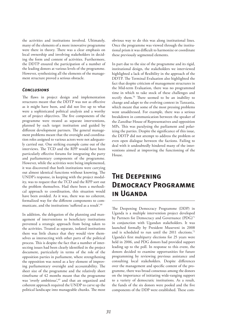the activities and institutions involved. Ultimately, many of the elements of a more innovative programme were there in theory. There was a clear emphasis on local ownership and involving stakeholders in deciding the form and content of activities. Furthermore, the DDTP ensured the participation of a number of the leading donors at various levels of the programme. However, synthesizing all the elements of the management structure proved a serious obstacle.

### *Conclusions*

The flaws in project design and implementation structures meant that the DDTP was not as effective as it might have been, and did not live up to what were a sophisticated political analysis and a worthy set of project objectives. The five components of the programme were treated as separate interventions, planned by each target institution and guided by different development partners. The general management problems meant that the oversight and coordination roles assigned to various actors were not adequately carried out. One striking example came out of the interviews. The TCD and the RPP would have been particularly effective forums for integrating the party and parliamentary components of the programme. However, while the activities were being implemented, it was discovered that both institutions were carrying out almost identical functions without knowing. The UNDP's response, in keeping with the project modality, was to request that the TCD and the RPP sort out the problem themselves. Had there been a methodical approach to coordination, this situation would have been avoided. As it was, there was no coherent, formalized way for the different components to communicate, and the institutions 'suffered as a result'.<sup>68</sup>

In addition, the delegation of the planning and management of interventions to beneficiary institutions prevented a strategic approach from being taken to the activities. Treated as separate, isolated institutions there was little chance that they would view themselves as intersecting with other parts of the political process. This is despite the fact that a number of intersecting issues had been clearly identified in the project document, particularly in terms of the role of the opposition parties in parliament, where strengthening the opposition was noted as a key element of improving parliamentary oversight and accountability. The sheer size of the programme and the relatively short timeframe of 42 months meant that the programme was 'overly ambitious',<sup>69</sup> and that an organized and coherent approach required the UNDP to carve up the political landscape into manageable chunks. The most

obvious way to do this was along institutional lines. Once the programme was viewed through the institutional prism it was difficult to harmonize or coordinate these previously segmented elements.

In part due to the size of the programme and its rigid, institutional design, the stakeholders we interviewed highlighted a lack of flexibility in the approach of the DDTP. The Terminal Evaluation also highlighted the fact that despite criticism of management structures in the Mid-term Evaluation, there was no programmed time in which to take stock of these challenges and rectify them.70 There seemed to be an inability to change and adapt to the evolving context in Tanzania, which meant that some of the most pressing problems went unaddressed. For example, there was a serious breakdown in communication between the speaker of the Zanzibar House of Representatives and opposition MPs. This was paralysing the parliament and polarizing the parties. Despite the significance of this issue, the DDTP did not attempt to address the problem or even open dialogue between the factions. Failing to deal with it undoubtedly hindered many of the interventions aimed at improving the functioning of the House.

## **The Deepening Democracy Programme in Uganda**

The Deepening Democracy Programme (DDP) in Uganda is a multiple intervention project developed by Partners for Democracy and Governance (PDG)<sup>71</sup> in conjunction with Ugandan stakeholders. It was launched formally by President Museveni in 2008 and is scheduled to run until the 2011 elections.<sup>72</sup> Uganda's first multiparty elections for 25 years were held in 2006, and PDG donors had provided support leading up to the poll. In response to this event, the donors decided to examine opportunities for future programming by reviewing previous assistance and consulting local stakeholders. Despite differences over the management and specific content of the programme, there was broad consensus among the donors on the importance of initiating wide-ranging support to a variety of democratic institutions. As a result, the funds of the six donors were pooled and the five components of the DDP were established. These com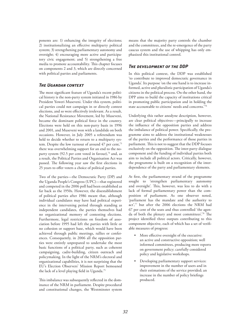ponents are: 1) enhancing the integrity of elections; 2) institutionalizing an effective multiparty political system; 3) strengthening parliamentary autonomy and oversight; 4) encouraging more active and participatory civic engagement; and 5) strengthening a free media to promote accountability. This chapter focuses on components 2 and 3, which are directly concerned with political parties and parliaments.

### *The Ugandan context*

The most significant feature of Uganda's recent political history is the non-party system initiated in 1986 by President Yoweri Museveni. Under this system, political parties could not campaign in or directly contest elections, and so were effectively irrelevant. As a result, the National Resistance Movement, led by Museveni, became the dominant political force in the country. Elections were held on this non-party basis in 1996 and 2001, and Museveni won with a landslide on both occasions. However, in July 2005 a referendum was held to decide whether to return to a multiparty system. Despite the low turnout of around 47 per cent,<sup>73</sup> there was overwhelming support for an end to the noparty system (92.5 per cent voted in favour), $74$  and, as a result, the Political Parties and Organisation Act was passed. The following year saw the first elections in 25 years to offer voters a choice of political parties.

Two of the parties—the Democratic Party (DP) and the Uganda People's Congress (UPC)—that registered and competed in the 2006 poll had been established as far back as the 1950s. However, the disestablishment of political parties after 1986 meant that, although individual candidates may have had political experience in the intervening period through standing as independent candidates, the parties themselves had no organizational memory of contesting elections. Furthermore, legal restrictions on freedom of association before 1995 had left the parties with little or no cohesion or support base, which would have been achieved through public meetings, rallies or conferences. Consequently, in 2006 all the opposition parties were entirely unprepared to undertake the most basic functions of a political party, such as coherent campaigning, cadre-building, citizen outreach and policymaking. In the light of the NRM's electoral and organizational capabilities, it is not surprising that the EU's Election Observers' Mission Report bemoaned the lack of a level playing field in Uganda.<sup>75</sup>

This imbalance was subsequently reflected in the dominance of the NRM in parliament. Despite procedural and constitutional changes, the Westminster system means that the majority party controls the chamber and the committees, and the re-emergence of the party caucus system and the use of whipping has only emphasized this institutional control.

### *The development of the DDP*

In this political context, the DDP was established 'to contribute to improved democratic governance in Uganda'. Its purpose 'on the one hand is to increase informed, active and pluralistic participation of Uganda's citizens in the political process. On the other hand, the DPP aims to build the capacity of institutions critical in promoting public participation and in holding the state accountable to citizens' needs and concerns.'76

Underlying this rather anodyne description, however, are clear political objectives—principally to increase the influence of the opposition parties and address the imbalance of political power. Specifically, the programme aims to address the institutional weaknesses of the parties and the performance of those parties in parliament. This is not to suggest that the DDP focuses exclusively on the opposition. The inter-party dialogue component and the funding of individual parties both aim to include all political actors. Critically, however, the programme is built on a recognition of the interdependence of the party and parliamentary elements.

At first, the parliamentary strand of the programme sought to 'strengthen parliamentary autonomy and oversight'. This, however, was less to do with a lack of formal parliamentary power than the composition of parliament. As one observer noted, 'parliament has the mandate and the authority to act',77 but after the 2006 elections the NRM had 67 per cent of the seats and thus controlled 'the agenda of both the plenary and most committees'.78 The project identified three outputs contributing to this component objective, each of which has a set of verifiable measures of progress:

- More effective oversight of the executive: an active and constructive opposition; well informed committees, producing more reports on government policy; carefully considered policy and legislative workshops.
- Developing parliamentary support services: improvement in the number of users and in their estimations of the service provided; an increase in the number of policy briefings produced.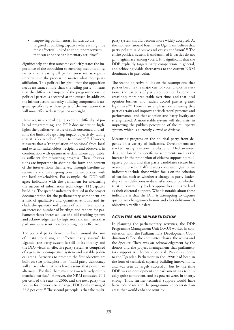Improving parliamentary infrastructure: targeted at building capacity where it might be most effective, linked to the support services that can enhance parliamentary scrutiny.79

Significantly, the first outcome explicitly states the importance of the opposition to ensuring accountability, rather than treating all parliamentarians as equally important to the process no matter what their party affiliation. This political insight—that the opposition needs assistance more than the ruling party—means that the differential impact of the programme on the political parties is accepted at the outset. In addition, the infrastructural capacity building component is targeted specifically at those parts of the institution that will most effectively strengthen oversight.

However, in acknowledging a central difficulty of political programming, the DDP documentation highlights the qualitative nature of such outcomes, and admits the limits of capturing impact objectively, saying that it is 'extremely difficult to measure'.80 However, it asserts that a 'triangulation of opinions' from local and external stakeholders, recipients and observers, in combination with quantitative data where applicable, is sufficient for measuring progress. These observations are important in shaping the form and content of the interventions themselves, through baseline assessments and an ongoing consultative process with the local stakeholders. For example, the DDP will agree indicators with the parliament for measuring the success of information technology (IT) capacity building. The specific indicators detailed in the project documentation for the parliamentary component are a mix of qualitative and quantitative tools, and include the quantity and *quality* of committee reports; an increased number of briefings and reports for parliamentarians; increased use of a bill tracking system; and acknowledgement by legislators and ministers that parliamentary scrutiny is becoming more effective.

The political party element is built around the aim of 'institutionalising an effective party system'. In Uganda, the party system is still in its infancy and the DDP views an effective party system as comprised of a genuinely competitive system and a stable political arena. Activities to promote the first objective are built on two principles: first, 'multi-party democracy will thrive where citizens have a sense that power can alternate. [For this] there must be two relatively evenly matched parties'.81 However, the NRM contested 90.1 per cent of the seats in 2006, and the next party (the Forum for Democratic Change, FDC) only managed 22.8 per cent.<sup>82</sup> The second principle is that the multiparty system should become more widely accepted. At the moment, around four in ten Ugandans believe that party politics is 'divisive and causes confusion'.83 The entire political system is undermined if parties do not gain legitimacy among voters. It is significant that the DDP explicitly targets party competition in general, and achieving viable alternatives to the current NRM dominance in particular.

The second objective builds on the assumptions 'that parties become the major cue for voter choice in elections, the patterns of party competition become increasingly more predictable over time, and that local opinion formers and leaders accord parties greater legitimacy.'84 There is an emphasis on ensuring that parties retain and improve their electoral presence and performance, and that cohesion and party loyalty are strengthened. A more stable system will also assist in improving the public's perception of the multiparty system, which is currently viewed as divisive.

Measuring progress on the political party front depends on a variety of indicators. Developments are tracked using election results and Afrobarometer data, reinforced by specific measurements such as the increase in the proportion of citizens supporting multiparty politics, and that party candidates secure first or second place in half the seats contested. Qualitative indicators include those which focus on the cohesion of parties, such as whether a change in party leadership causes defections or dissatisfaction, or on whether trust in community leaders approaches the same level as their electoral support. What is notable about these indicators is that the DPP is attempting to capture qualitative changes—cohesion and electability—with objectively verifiable data.

#### *Activities and implementation*

In planning the parliamentary activities, the DDP Programme Management Unit (PMU) worked in consultation with the Parliamentary Development Coordination Office, the committee chairs, the whips and the Speaker. There was an acknowledgement by the donors and the project management that parliamentary support is inherently political. Previous support to the Ugandan Parliament in the 1990s had been in the form of technical, capacity-building interventions, and was seen as largely successful, but by the time DDP was in development the parliament was technically quite competent, and its powers were, in theory, strong. Thus, further technical support would have been redundant and the programme concentrated on areas that would enhance scrutiny: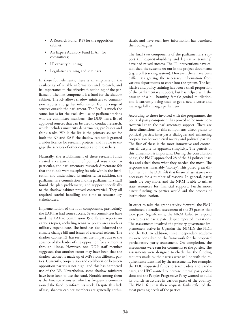- A Research Fund (RF) for the opposition cabinet;
- An Expert Advisory Fund (EAF) for committees;
- IT capacity building;
- Legislative training and seminars.

In these four elements, there is an emphasis on the availability of reliable information and research, and its importance to the effective functioning of the parliament. The first component is a fund for the shadow cabinet. The RF allows shadow ministers to commission reports and gather information from a range of sources outside the parliament. The EAF is much the same, but is for the exclusive use of parliamentarians who are committee members. The DDP has a list of approved sources that can be used to conduct research, which includes university departments, professors and think tanks. While the list is the primary source for both the RF and EAF, the shadow cabinet is granted a wider licence for research projects, and is able to engage the services of other contacts and researchers.

Naturally, the establishment of these research funds created a certain amount of political resistance. In particular, the parliamentary research directorate felt that the funds were usurping its role within the institution and undermined its authority. In addition, the parliamentary commission and the parliamentary staff found the plan problematic, and support specifically to the shadow cabinet proved controversial. They all required careful handling and time to reassure key stakeholders.

Implementation of the four components, particularly the EAF, has had some success. Seven committees have used the EAF to commission 15 different reports on various topics, including sensitive policy areas such as military expenditure. The fund has also informed the climate change bill and issues of electoral reform. The shadow cabinet RF has seen less use, in part due to the absence of the leader of the opposition for six months through illness. However, one DDP staff member suggested that another factor may have been that the shadow cabinet is made up of MPs from different parties. Currently, cooperation and collaboration between opposition parties is not high, and this has hampered use of the RF. Nevertheless, some shadow ministers have been keen to use the fund. Notable among them is the Finance Minister, who has frequently commissioned the fund to inform his work. Despite this lack of use, shadow cabinet members are generally enthusiastic and have seen how information has benefited their colleagues.

The final two components of the parliamentary support (IT capacity-building and legislative training) have had mixed success. The IT interventions have established the systems set out in the project documents (e.g. a bill tracking system). However, there have been difficulties getting the necessary information from various departments to enter into the system. The legislative and policy training has been a small proportion of the parliamentary support, but has helped with the passage of a bill banning female genital mutilation, and is currently being used to get a new divorce and marriage bill through parliament.

According to those involved with the programme, the political party component has proved to be more controversial than the parliamentary support. There are three dimensions to this component: direct grants to political parties; inter-party dialogue; and enhancing cooperation between civil society and political parties. The first of these is the most innovative and controversial, despite its apparent simplicity. The genesis of this dimension is important. During the consultation phase, the PMU approached 28 of the 34 political parties and asked them what they needed the most. The response was invariably 'money'. This posed great difficulties, but the DDP felt that financial assistance was necessary for a number of reasons. In general, party funds are very short, and the NRM is able to utilize state resources for financial support. Furthermore, direct funding to parties would aid the process of institutionalization.

In order to take the grant activity forward, the PMU conducted a detailed assessment of the 25 parties that took part. Significantly, the NRM failed to respond to requests to participate, despite repeated invitations. The assessments involved the primary governance implementers active in Uganda: the NIMD; the NDI; and the IRI. In addition, three independent academics were consulted on the framework for the proposed participatory party assessment. On completion, the assessments were sent for comments to the parties. The assessments were designed to check that the funding requests made by the parties were in line with the requirements identified by the assessments. For example, the FDC requested funds to train cadres and candidates; the UPC wanted to increase internal party cohesion; and the Peoples Progressive Party wanted to build its branch structures in various parts of the country. The PMU felt that these requests fairly reflected the most pressing needs of the parties.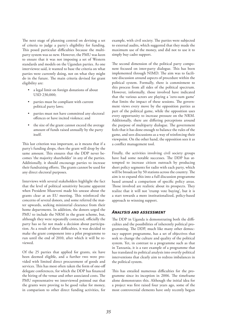The next stage of planning centred on devising a set of criteria to judge a party's eligibility for funding. This posed particular difficulties because the multiparty system was so new. However, the PMU was keen to ensure that it was not imposing a set of Western standards and models on the Ugandan parties. As one interviewee said, it wanted to base the criteria on what parties were currently doing, not on what they might do in the future. The main criteria devised for grant eligibility are:

- a legal limit on foreign donations of about USD 230,000;
- parties must be compliant with current political party laws;
- parties must not have committed any electoral offences or have incited violence; and
- the size of the grant cannot exceed the average amount of funds raised annually by the party itself.

This last criterion was important, as it means that if a party's funding drops, then the grant will drop by the same amount. This ensures that the DDP never becomes 'the majority shareholder' in any of the parties. Additionally, it should encourage parties to increase their fundraising efforts. The grants cannot be used for any direct electoral purposes.

Interviews with several stakeholders highlight the fact that the level of political sensitivity became apparent when President Museveni made his unease about the grants clear at an EU meeting. This reinforced the concerns of several donors, and some referred the matter upwards, seeking ministerial clearance from their home departments. In addition, the donors urged the PMU to include the NRM in the grant scheme, but, although they were repeatedly contacted, officially the party has so far not made a decision about participation. As a result of these difficulties, it was decided to make the grant component into a pilot programme to run until the end of 2010, after which it will be reviewed.

Of the 25 parties that applied for grants, six have been deemed eligible, and a further two were provided with limited direct procurement of goods and services. This has most often taken the form of one-off delegate conferences, for which the DDP has financed the hiring of the venue and other associated costs. The PMU representative we interviewed pointed out that the grants were proving to be good value for money, in comparison to other direct funding activities, for example, with civil society. The parties were subjected to external audits, which suggested that they made the maximum use of the money, and did not to use it to simply buy cadre support.

The second dimension of the political party component focused on inter-party dialogue. This has been implemented through NIMD. The aim was to facilitate discussion around aspects of procedure within the political system. Formally, there is commitment to this process from all sides of the political spectrum. However, informally, those involved have indicated that the various actors are playing a 'zero-sum game' that limits the impact of these sessions. The government views every move by the opposition parties as part of the political game, while the opposition uses every opportunity to increase pressure on the NRM. Additionally, there are differing perceptions around the purpose of multiparty dialogue. The government feels that it has done enough to balance the rules of the game, and sees discussions as a way of reinforcing their viewpoint. On the other hand, the opposition sees it as a conflict management tool.

Finally, the activities involving civil society groups have had some notable successes. The DDP has attempted to increase citizen outreach by producing short policy segments for radio with each party, which will be broadcast by 50 stations across the country. The aim is to expand this into a full discussion programme based around a comparison of specific policy areas. Those involved are realistic about its prospects. They realize that it will not 'trump vote buying', but it is a start towards a more institutionalized, policy-based approach to winning support.

### *Analysis and assessment*

The DDP in Uganda is demonstrating both the difficulties and the possibilities of inherently political programming. The DDP, much like many other democracy support programme, has a set of objectives that seek to change the culture and quality of the political system. Yet, in contrast to a programme such as that in Tanzania, it is a rare example of a programme that has translated its political analysis into overtly political interventions that clearly aim to redress imbalances in the political system.

This has entailed numerous difficulties for the programme since its inception in 2006. The timeframe alone demonstrates this. Although the initial idea for a project was first raised four years ago, some of the most controversial elements have only recently begun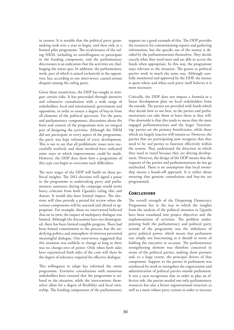in earnest. It is notable that the political party grantmaking took over a year to begin, and then only as a limited pilot programme. The recalcitrance of the ruling NRM, including its unwillingness to participate in the funding component, and the parliamentary directorates is an indication that the activities are challenging the status quo. In addition, the parliamentary work, part of which is aimed exclusively at the opposition, has, according to one interviewee, caused serious disquiet among the ruling party.

Given these sensitivities, the DDP has sought to mitigate certain risks. It has proceeded through intensive and exhaustive consultation with a wide range of stakeholders, local and international, government and opposition, in order to ensure a degree of buy-in from all elements of the political spectrum. For the party and parliamentary components, discussions about the form and content of the programme were an integral part of designing the activities. Although the NRM did not participate in every aspect of the programme, the party was kept informed of every development. This is not to say that all problematic issues were successfully resolved, and those involved have indicated some ways in which improvements could be made. However, the DDP does show how a programme of this type can begin to overcome such difficulties.

The next stages of the DDP will build on these political insights. The 2011 elections will signal a pause in the programme as undertaking party and parliamentary assistance during the campaign would invite heavy criticism from both Uganda's ruling elite and donors. It would also have limited impact. The elections will thus provide a period for review when the various components will be assessed and altered as appropriate. For example, those we interviewed believed that on its own, the impact of multiparty dialogue was limited. Although the discussions have not disintegrated, there has been limited tangible progress. There had been formal commitment to the process, but the underlying politics and atmosphere of mistrust prevented meaningful dialogue. One interviewee suggested that this situation was unlikely to change as long as there was no change-over of power. Only when both sides have experienced both sides of the coin will there be the degree of tolerance required for effective dialogue.

This willingness to adapt has informed the entire programme. Extensive consultations with numerous stakeholders have ensured that the programme is tailored to the situation, while the interventions themselves allow for a degree of flexibility and local ownership. The funding components of the parliamentary support are a good example of this. The DDP provides the resources for commissioning reports and gathering information, but the specific use of the money is decided by the parliamentarians themselves. They decide exactly what they need most and are able to access the funds when appropriate. In this way, the programme stays relevant to the situation. The grants to political parties work in much the same way. Although carefully monitored and approved by the DDP, the money is spent where and when each party itself believes it is most necessary.

Critically, the DDP does not impose a formula or a linear development plan on local stakeholders from the outside. The parties are provided with funds which they decide how to use best, so the parties and parliamentarians can take them or leave them as they will. One downside is that this tends to mean that the most engaged parliamentarians and the larger 'functioning' parties are the primary beneficiaries, while those which are largely inactive will remain so. However, the parties that are participating now recognize that they need to be *real* parties to function effectively within the system. They understand the direction in which they need to travel because they are driving development. However, the design of the DDP means that the requests of the parties and parliamentarians do not go unchecked. There is no assumption that local ownership means a hands-off approach. It is rather about ensuring that genuine consultation and buy-ins are programmed.

### *Conclusions*

The overall strength of the Deepening Democracy Programme lies in the way in which the insights from the analysis of the political situation in Uganda have been translated into project objectives and the implementation of activities. The problem underpinning both the parliamentary and political party strands of the programme was the imbalance of party political power, which meant that parliament was simply not functioning as it should in terms of holding the executive to account. The parliamentary strengthening element was therefore conceived in terms of the political parties, making them partners and, to a large extent, the principal drivers of that component. Support to the parties in parliament was reinforced by work to strengthen the organization and administration of political parties outside parliament. It was a tacit recognition that in order to play an effective role, the parties needed not only parliamentary resources but also a better organizational structure as well as a more robust party system in order to increase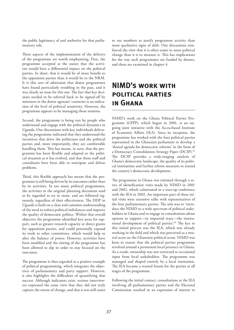the public legitimacy of and authority for that parliamentary role.

Three aspects of the implementation of the delivery of the programme are worth emphasizing. First, the programme accepted at the outset that the activities would have a differential impact on the political parties. In short, that it would be of more benefit to the opposition parties than it would be to the NRM. It is this sort of admission that donor programmes have found particularly troubling in the past, and it was clearly an issue for this one. The fact that key decisions needed to be referred back to be signed-off by ministers in the donor agencies' countries is an indication of the level of political sensitivity. However, the programme appears to be managing those tensions.

Second, the programme is being run by people who understand and engage with the political dynamics in Uganda. Our discussions with key individuals delivering the programme indicated that they understand the incentives that drive the politicians and the political parties and, more importantly, they are comfortable handling them. This has meant, in turn, that the programme has been flexible and adapted to the political situation as it has evolved, and that those staff and consultants have been able to anticipate and defuse problems.

Third, this flexible approach has meant that the programme is still being driven by its outcomes rather than by its activities. In too many political programmes, the activities in the original planning document tend to be regarded as set in stone, and are followed rigorously, regardless of their effectiveness. The DDP in Uganda is built on a clear and common understanding of the need to redress political imbalances and improve the quality of democratic politics. Within that overall objective the programme identified key areas for support, such as greater research capacity or direct grants for opposition parties, and could potentially expand its work to other committees, which would help to alter the balance of power. However, activities have been modified and the timing of the programme has been allowed to slip in order to stay focused on the outcomes.

The programme is thus regarded as a positive example of political programming, which integrates the objectives of parliamentary and party support. However, it also highlights the difficulties of quantifying that success. Although indicators exist, various interviewees expressed the same view that they did not truly capture the extent of change, and that it was still easier

to use numbers to justify programme activity than more qualitative signs of shift. Our discussions reinforced the view that it is often easier to sense political change than it is to measure it. This has implications for the way such programmes are funded by donors, and these are examined in chapter 4.

# **NIMD's work with political parties in Ghana**

NIMD's work on the Ghana Political Parties Programme (GPPP), which began in 2001, is an ongoing joint initiative with the Accra-based Institute of Economic Affairs (IEA). Since its inception, the programme has worked with the four political parties represented in the Ghanaian parliament to develop a 'shared agenda for democratic reforms' in the form of a Democracy Consolidation Strategy Paper (DCSP).<sup>85</sup> The DCSP provides a wide-ranging analysis of Ghana's democratic landscape, the quality of its political institutions and further reform measures to extend the country's democratic development.

The programme in Ghana was initiated through a series of identification visits made by NIMD in 2001 and 2002, which culminated in a start-up conference with the IEA in 2002. An important part of these initial visits were extensive talks with representatives of the four parliamentary parties. The aim was to 'introduce the NIMD to a wide spectrum of political stakeholders in Ghana and to engage in consultations about options to support—in impartial ways—the institutional development of political parties'.86 The key to this initial process was the IEA, which was already working in the field and which was perceived as a neutral actor on the Ghanaian political scene. NIMD was keen to ensure that the political parties programme revolved around a permanent local presence in Ghana. As a result, ownership was not restricted to occasional input from local stakeholders. The programme was managed and shaped entirely by a local institution. The IEA became a trusted forum for the parties at all stages of the programme.

Following the initial contact, consultations at the IEA involving all parliamentary parties and the Electoral Commission resulted in an expression of interest to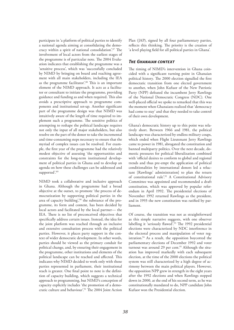participate in 'a platform of political parties to identify a national agenda aiming at consolidating the democracy within a spirit of national consolidation'.87 The involvement of local actors from the earliest stages of the programme is of particular note. The 2004 Evaluation indicates that establishing the programme was a 'sensitive process', which was 'successfully concluded by NIMD by bringing on board and reaching agreement with all main stakeholders, including the IEA as the programme facilitator'.<sup>88</sup> This is an important element of the NIMD approach. It acts as a facilitator or consultant to initiate the programme, providing guidance and funding as and when required. This also avoids a prescriptive approach to programme components and institutional set-up. Another significant part of the programme design was that NIMD was intuitively aware of the length of time required to implement such a programme. The sensitive politics of attempting to reshape the political landscape requires not only the input of all major stakeholders, but also resolve on the part of the donor to take the incremental and time-consuming steps necessary to ensure that the myriad of complex issues can be resolved. For example, the first year of the programme had the relatively modest objective of assessing 'the opportunities and constraints for the long-term institutional development of political parties in Ghana and to develop an agenda on how these challenges can be addressed and supported'.<sup>89</sup>

NIMD took a collaborative and inclusive approach in Ghana. Although the programme had a broad objective at the outset, to promote 'the process of democratization by supporting political parties in the area of capacity building',<sup>90</sup> the substance of the programme, its form and content, has been decided by local actors and facilitated by the local partner— the IEA. There is no list of preconceived objectives that specifically address certain issues. Instead, the idea for the joint platform was reached through an inclusive and extensive consultation process with the political parties. However, it places party support in the context of wider democratic development. In other words, parties should be viewed as the primary conduit for political change, and, by ensuring their engagement in the programme, other institutions and elements of the political landscape can be reached and affected. This indicates why NIMD decided to work only with those parties represented in parliament, their institutional reach is greater. One final point to note is the definition of capacity building, which suggests a technical approach to programming, but NIMD's conception of capacity explicitly includes 'the promotion of a democratic culture and behaviour'.91 The 2004 Joint Action Plan (JAP), signed by all four parliamentary parties, reflects this thinking. The priority is the creation of 'a level playing field for all political parties in Ghana'.

### *The Ghanaian context*

The timing of NIMD's intervention in Ghana coincided with a significant turning point in Ghanaian political history. The 2000 election signalled the first democratic transition from one elected government to another, when John Kufuor of the New Patriotic Party (NPP) defeated the incumbent Jerry Rawlings of the National Democratic Congress (NDC). One well-placed official we spoke to remarked that this was the moment when Ghanaians realized that 'democracy had come to stay' and that they needed to take control of their own development.

Ghana's democratic history up to this point was relatively short. Between 1966 and 1981, the political landscape was characterized by endless military coups, which ended when Flight Lieutenant Jerry Rawlings came to power in 1981, abrogated the constitution and banned multiparty politics. Over the next decade, domestic pressures for political liberalization combined with 'official desires to conform to global and regional trends and thus pre-empt the application of political conditionalities by international donors led a reluctant [Rawlings' administration] to plan the return of constitutional rule'.<sup>92</sup> A Constitutional Advisory Committee was appointed and recommended a draft constitution, which was approved by popular referendum in April 1992. The presidential elections of November 1992 returned Rawlings as the president, and in 1993 the new constitution was ratified by parliament.

Of course, the transition was not as straightforward as this simple narrative suggests, with one observer labelling it 'seriously flawed'.93 The 1992 presidential elections were characterized by NDC interference in the electoral process and manipulation of voter registration.94 As a result, the opposition boycotted the parliamentary elections of December 1992 and voter turnout was around 29 per cent.<sup>95</sup> Although the situation has improved markedly with each subsequent election, at the time of the 2000 elections the political system was still characterized by a high degree of acrimony between the main political players. However, the opposition NPP grew in strength in the eight years after the 1992 elections and when Rawlings stepped down in 2000, at the end of his second term, as he was constitutionally mandated to do, NPP candidate John Kufuor won the Presidential election.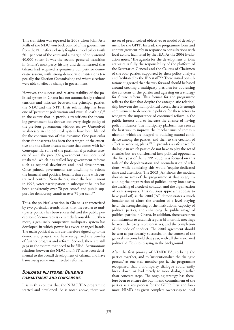This transition was repeated in 2008 when John Atta Mills of the NDC won back control of the government from the NPP after a closely fought run-off ballot (with 50.1 per cent of the votes and a margin of only around 40,000 votes). It was the second peaceful transition in Ghana's multiparty history and demonstrated that Ghana had acquired a genuinely competitive democratic system, with strong democratic institutions (especially the Election Commission) and where elections were able to effect a change in government.

However, the success and relative stability of the political system in Ghana has not automatically reduced tensions and mistrust between the principal parties, the NDC and the NPP. Their relationship has been one of 'persistent polarisation and mutual loathing',96 to the extent that in previous transitions the incoming government has thrown out every single policy of the previous government without review. Unresolved weaknesses in the political system have been blamed for the continuation of this dynamic. One particular focus for observers has been the strength of the executive and the allure of state capture that comes with it.<sup>97</sup> Consequently, some of the patrimonial practices associated with the pre-1992 government have continued unabated, which has stalled key government reforms such as regional devolution and local development. Once gained, governments are unwilling to release the financial and political benefits that come with centralized control. Nonetheless, since the low turnout in 1992, voter participation in subsequent ballots has been consistently over 70 per cent,<sup>98</sup> and public support for democracy stands at over 79 per cent.<sup>99</sup>

Thus, the political situation in Ghana is characterized by two particular trends. First, that the return to multiparty politics has been successful and the public perception of democracy is extremely favourable. Furthermore, a genuinely competitive multiparty system has developed in which power has twice changed hands. The main political actors are therefore signed up to the democratic project, and have recognized the benefits of further progress and reform. Second, there are still gaps in the system that need to be filled. Acrimonious relations between the NDC and NPP have been detrimental to the overall development of Ghana, and have hamstrung some much needed reforms.

### *Dialogue platform: Building commitment and consensus*

It is in this context that the NIMD/IEA programme started and developed. As is noted above, there was

no set of preconceived objectives or model of development for the GPPP. Instead, the programme form and content grew entirely in response to consultations with local actors, facilitated by the IEA. As the 2004 Evaluation notes: 'The agenda for the development of joint activities is fully the responsibility of the platform of the Secretaries General and the Caucus of Chairmen of the four parties, supported by their policy analysts and facilitated by the IEA staff.'100 These initial consultations suggested that the way forward should be based around creating a multiparty platform for addressing the concerns of the parties and agreeing on a strategy for future reform. This format for the programme reflects the fact that despite the antagonistic relationship between the main political actors, there is enough commitment to democratic politics for these actors to recognize the importance of continued reform in the public interest and to increase the chance of having policy influence. The multiparty platform was seen as the best way to improve the 'mechanisms of communication' which are integral to building mutual confidence among the parties, and then to the creation of effective working plans.101 It provides a safe space for dialogue in which parties do not have to play the act of enemies but are transformed into political opponents. The first year of the GPPP, 2003, was focused on this task of the depolarization and normalization of relations, while admitting this would 'require dedicated time and attention'. The 2003 JAP shows the modest, short-term aims of the programme at that stage, including the organization of political party broadcasts, the drafting of a code of conduct, and the organization of joint symposia. This cautious approach appears to have paid off, as the 2004 JAP demonstrates a much broader set of aims: the creation of a level playing field; the strengthening of the institutional capacity of political parties; and enhancing the public image of political parties in Ghana. In addition, there were firm commitments to establish regular bi-monthly meetings between the party representatives, and the completion of the code of conduct. The 2004 agreement should be seen as particularly successful in the context of the general elections held that year, with all the associated political difficulties playing in the background.

After the first priority of NIMD/IEA, to bring the parties together, and to 'institutionalize the dialogue process' as one staff member put it, the programme recognized that a multiparty dialogue could easily break down, or lead merely to more dialogue rather than concrete steps. The ongoing strategy has therefore been to ensure the buy-in and commitment of the parties as a key process for the GPPP. First and foremost, NIMD has given complete ownership to local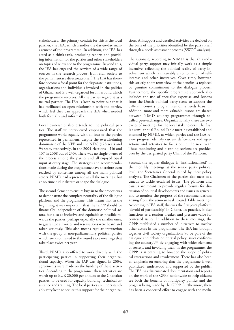stakeholders. The primary conduit for this is the local partner, the IEA, which handles the day-to-day management of the programme. In addition, the IEA has acted as a think-tank, producing reports and providing information for the parties and other stakeholders on topics of relevance to the programme. Beyond this, the IEA has engaged the services of a wide range of sources in the research process, from civil society to the parliamentary directorate itself. The IEA has therefore become a focal point for the disparate institutions, organizations and individuals involved in the politics of Ghana, and is a well-regarded forum around which the programme revolves. All the parties regard it as a neutral partner. The IEA is keen to point out that it has facilitated an open relationship with the parties, which feel they can approach the IEA when needed both formally and informally.

Local ownership also extends to the political parties. The staff we interviewed emphasized that the programme works equally with all four of the parties represented in parliament, despite the overwhelming dominance of the NPP and the NDC (128 seats and 94 seats, respectively, in the 2004 elections—116 and 107 in 2008 out of 230). There was no single owner of the process among the parties and all enjoyed equal input at every stage. The strategies and recommendations made during the programme have therefore been reached by consensus among all the main political actors. NIMD had a presence at all the meetings, but at no time did it dictate or shape the dialogue.

The second element to ensure buy-in to the process was to demonstrate the complete neutrality of the dialogue platform and the programme. This meant that in the beginning it was important that the GPPP should be financially independent of the domestic political actors, but also as inclusive and equitable as possible towards the parties, perhaps especially the smaller ones, to guarantee all voices and reservations were heard and taken seriously. This also means regular interaction with the group of non-parliamentary political parties which are also invited to the round table meetings that take place twice per year.

Third, NIMD also offered to work directly with the participating parties in supporting their organizational capacity. When the JAP was signed in 2004, agreements were made on the funding of these activities. According to the programme, these activities are worth up to EUR 20,000 per annum to the Ghanaian parties, to be used for capacity building, technical assistance and training. The local parties are understandably very keen to secure this support for their organizations. All support and detailed activities are decided on the basis of the priorities identified by the party itself through a needs assessment process (SWOT analysis).

The rationale, according to NIMD, is that this individual party support may initially work as a simple incentive, reflecting the political reality of party involvement which is invariably a combination of selfinterest and other incentives. Over time, however, this strictly short term view of the benefits is replaced by genuine commitment to the dialogue process. Furthermore, the specific programme approach also includes the use of specialist expertise and lessons from the Dutch political party scene to support the different country programmes on a needs basis. In addition, more and more valuable lessons are shared between NIMD country programmes through socalled peer-exchanges. Organizationally there are two cycles of meetings for the local stakeholders. The first is a semi-annual Round Table meeting established and attended by NIMD, at which parties and the IEA review progress, identify current deficiencies and agree actions and activities to focus on in the next year. These monitoring and planning sessions are presided over by the designated party Chair of the Platform.

Second, the regular dialogue is 'institutionalized' in the monthly meetings at the senior party political level: the Secretaries General joined by their policy analysts. The Chairmen of the parties also meet as a caucus to tackle escalated issues. The platform and caucus are meant to provide regular forums for discussion of political developments and issues in general, and to monitor the progress of the recommendations arising from the semi-annual Round Table meetings. According to IEA staff, this was the first joint platform 'devoid of partisanship' in Ghana. In practice, it also functions as a tension breaker and pressure valve for contested issues. In addition to these meetings, the GPPP established a number of initiatives to involve other actors in the programme. The IEA has brought together civil society organizations 'to be part of the dialogue and debate on critical policy issues confronting the country'.102 By engaging with wider elements of society, and involving them in the programme, the GPPP is attempting to broaden the scope of political interactions and involvement. There has also been an emphasis on ensuring that the programme is well publicized, understood and supported by the public. The IEA has disseminated documentation and reports on the work of the GPPP nationwide to help citizens see both the benefits of multiparty politics and the progress being made by the GPPP. Furthermore, there has been a concerted effort to engage with the media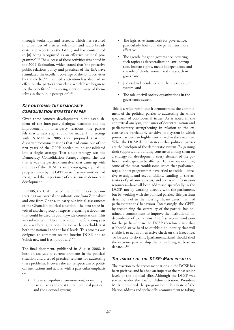through workshops and retreats, which has resulted in a number of articles, television and radio broadcasts, and reports on the GPPP, and has 'contributed to [it] being recognized as an effective national programme'.103 The success of these activities was noted in the 2004 Evaluation, which stated that 'the proactive public relations policy and practices of the IEA have stimulated the excellent coverage of the joint activities by the media'.104 The media attention has also had an effect on the parties themselves, which have begun to see the benefits of 'promoting a better image of themselves in the public perception'.<sup>105</sup>

### *Key outcome: The democracy consolidation strategy paper*

Given these concrete developments in the establishment of the inter-party dialogue platform and the improvement in inter-party relations, the parties felt that a next step should be made. In meetings with NIMD in 2005 they proposed that the disparate recommendations that had come out of the first years of the GPPP needed to be consolidated into a single strategy. That single strategy was the Democracy Consolidation Strategy Paper. The fact that it was the parties themselves that came up with the idea of the DCSP is an encouraging sign of the progress made by the GPPP in its first years—they had recognized the importance of consensus to democratic development.

In 2006, the IEA initiated the DCSP process by contracting two external consultants, one from Zimbabwe and one from Ghana, to carry out initial assessments of the Ghanaian political situation. The next stage involved another group of experts preparing a document that could be used in countrywide consultations. This was submitted in December 2006. The following year saw a wide-ranging consultation with stakeholders at both the national and the local levels. This process was designed to comment on the interim DCSP, and to 'solicit new and fresh proposals'.106

The final document, published in August 2008, is both an analysis of current problems in the political situation and a set of practical reforms for addressing these problems. It covers the entire spectrum of political institutions and actors, with a particular emphasis on:

The macro-political environment, examining particularly the constitution, political parties and the electoral system;

- The legislative framework for governance, particularly how to make parliament more effective;
- The agenda for good governance, covering such topics as decentralization, anti-corruption, human rights, media independence and the role of chiefs, women and the youth in governance;
- Judicial independence and the justice system system; and
- The role of civil society organizations in the governance system.

This is a wide remit, but it demonstrates the commitment of the political parties to addressing the whole spectrum of controversial issues. As is noted in the contextual analysis, the issues of decentralization and parliamentary strengthening in relation to the executive are particularly sensitive in a system in which power has been so highly centralized in the executive. What the DCSP demonstrates is that political parties are the lynchpin of the democratic system. By gaining their support, and building consensus among them on a strategy for development, every element of the political landscape can be affected. To take one example, some of the most troublesome issues that parliamentary support programmes have tried to tackle—effective oversight and accountability, funding of the activities of parliamentarians, and access to information resources—have all been addressed specifically in the DCSP, not by working directly with the parliament, but by working with the political parties. This partisan dynamic is often the most significant determinant of parliamentarians' behaviour. Interestingly, the GPPP, by recognizing the centrality of the parties, has obtained a commitment to improve the institutional independence of parliament. The first recommendation for the parliament in the DCSP therefore states that it 'should strive hard to establish an identity that will enable it to act as an effective check on the Executive. To be able to do this, [parliamentarians] should shed the extreme partisanship that they bring to bear on debate...'.107

### *The impact of the DCSP: Main results*

The reaction to the recommendations in the DCSP has been positive, and has had an impact at the most senior levels of the political elite. Although the DCSP was started under the Kufuor Administration, President Mills mentioned the programme in his State of the Nation address and spoke of his commitment to taking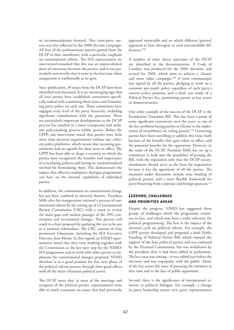its recommendations forward. This cross-party success was also reflected in the 2008 election campaign. All four of the parliamentary parties quoted from the DCSP in their manifestos, with a particular emphasis on constitutional reform. The IEA representative we interviewed remarked that this was an unprecedented show of consensus between the parties, and it was particularly noteworthy that it came at election time when antagonism is traditionally at its apex.

Since publication, 39 issues from the DCSP have been identified and discussed. It is an encouraging sign that all four parties have established committees specifically tasked with examining these issues and formulating party policy on each one. These committees have engaged every level of the party hierarchy, including significant consultations with the grassroots. These are particularly important developments as the DCSP process has resulted in a more transparent and inclusive policymaking process within parties. Before the GPPP, one interviewee noted that parties were little more than electoral organizations without any coherent policy platforms, which meant that incoming governments had no agenda for their term in office. The GPPP has been able to shape a scenario in which the parties have recognized the benefits and importance of articulating policies and having an institutionalized method for formulating them. This demonstrates the impact that effective multiparty dialogue programmes can have on the internal capabilities of individual parties.

In addition, the commitment to constitutional change has not been confined to electoral rhetoric. President Mills after his inauguration initiated a process of constitutional reform by the setting up of a Constitutional Review Commission (CRC) with a remit to review the main gaps and unclear passages of the 1992 constitution and recommend changes. This process will result in a final proposal for updating the text to be put to a national referendum. The CRC consists of nine prominent Ghanaians, including the IEA Executive Director, Jean Mensa. In this regard, an NIMD representative noted that they view working together with the Commission as the key next step for the NIMD/ IEA programme and in work with other parties to implement the constitutional changes proposed. NIMD therefore is in a good position for this next phase of the political reform process through their good offices with all the main Ghanaian political actors.

The DCSP notes that 'at most of the meetings and symposia of the political parties, representatives were able to reach consensus on issues that had previously appeared intractable and on which different [parties] appeared to have divergent or even irreconcilable differences.'108

A number of other direct outcomes of the DCSP are identified in the documentation. A Code of Conduct was produced for the 2004 elections, and revised for 2008, which aims to achieve a 'cleaner and more sober campaign'.109 A joint communiqué was signed by all the parties, pledging to work on a common pro-youth policy regardless of each party's current policy position, and a draft was made of a Political Parties Act, positioning parties as key actors in democratization.

One other example of the success of the DCSP is the Presidential Transition Bill. This has been a point of some significant controversy over the years, as one of the key problems facing parties in Ghana 'is the exploitation of incumbency by ruling parties'.110 Governing parties have been unwilling to address this issue, both because of the benefits they gain when in office, and the potential benefits for the opposition. However, in the wake of the DCSP, President Mills has set up a committee to look into the possibility of passing the Bill, with the stipulation only that the DCSP recommendations should serve as the basis for negotiation because it has the agreement of all the parties. The measures under discussion include state funding of political parties, and a more flexible framework for party financing from corporate and foreign sponsors.<sup>111</sup>

### *Lessons, challenges and priorities ahead*

Despite the progress, NIMD has suggested three groups of challenges which the programme continues to face, and which may have a wider relevance for political programming. The first is the impact of the electoral cycle on political reform. For example, the GPPP parties developed and proposed a draft Public Funding of Political Parties Bill, which enjoyed the support of the four political parties and was endorsed by the Electoral Commission, but was withdrawn by the president after it had been tabled in parliament. The key issue was timing—it was tabled just before the elections and was unpopular with the public. Many of the key actors felt wary of pursuing the initiative at that time and in the face of public opposition.

Second, there is the significance of interpersonal relations to political dialogue. For example, a change in party leadership means new party representatives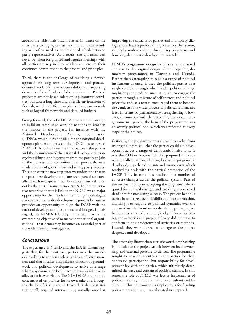around the table. This usually has an influence on the inter-party dialogue, as trust and mutual understanding will often need to be developed afresh between party representatives. As a result, the dynamics can never be taken for granted and regular meetings with all parties are required to validate and ensure their continued commitment to the process and principles.

Third, there is the challenge of matching a flexible approach on long term development- and processoriented work with the accountability and reporting demands of the funders of the programme. Political processes are not based solely on input/output activities, but take a long time and a fertile environment to flourish, which is difficult to plan and capture in tools such as logical frameworks and detailed budgets.

Going forward, the NIMD/IEA programme is aiming to build on established working relations to broaden the impact of the project, for instance with the National Development Planning Commission (NDPC), which is responsible for the national development plan. As a first step, the NDPC has requested NIMD/IEA to facilitate the link between the parties and the formulation of the national development strategy by asking planning experts from the parties to join in the process, and committees that previously were made up only of government and ruling party experts. This is an exciting new step since we understand that in the past these development plans were passed unilaterally by each new government but subsequently thrown out by the next administration. An NIMD representative remarked that this link to the NDPC was a major opportunity for them to link the multiparty dialogue structure to the wider development process because it provides an opportunity to align the DCSP with the national development programme and budget. In this regard, the NIMD/IEA programme ties in with the overarching objective of so many international organizations—that democracy becomes an essential part of the wider development agenda.

### *Conclusions*

The experience of NIMD and the IEA in Ghana suggests that, for the most part, parties are either unable or unwilling to address such issues in an effective manner, and that it takes a significant amount of groundwork and political development to arrive at a stage where any connection between democracy and poverty alleviation is even viable. The NIMD/IEA programme concentrated on politics for its own sake and is reaping the benefits as a result. Overall, it demonstrates that small, targeted interventions, initially aimed at

improving the capacity of parties and multiparty dialogue, can have a profound impact across the system, simply by understanding who the key players are and how long democratic development can take.

NIMD's programme design in Ghana is in marked contrast to the original design of the deepening democracy programmes in Tanzania and Uganda. Rather than attempting to tackle a range of political institutions at once, it used the political parties as a single conduit through which wider political change might be promoted. As such, it sought to engage the parties through a mixture of self-interest and political priorities and, as a result, encouraged them to become the catalysts for a wider process of political reform, not least in terms of parliamentary strengthening. However, in common with the deepening democracy programme in Uganda, the basis of the programme was an overtly political one, which was reflected at every stage of the project.

Critically, the programme was allowed to evolve from its original premise—that the parties could aid development across a range of democratic institutions. It was the 2004 evaluation that first proposed this connection, albeit in general terms, but as the programme developed, it gathered an internal momentum which reached its peak with the parties' promotion of the DCSP. This, in turn, has resulted in a number of concrete changes across the political system. Part of the success also lay in accepting the long timescale required for political change, and avoiding preordained deadlines for measuring success. The project has thus been characterized by a flexibility of implementation, allowing it to respond to political dynamics over the course of its life. In other words, although the project had a clear sense of its strategic objectives at its outset, the activities and project delivery did not have to conform to any predetermined activities or methods. Instead, they were allowed to emerge as the project deepened and developed.

The other significant characteristic worth emphasizing is the balance the project struck between local ownership and external pressure to deliver. The programme sought to provide incentives to the parties for their continued participation, but responsibility for development lay with the parties, which ultimately determined the pace and content of political change. In this sense, the role of NIMD was less as implementer of political reform, and more that of a consultant and facilitator. This point—and its implications for funding political programmes—is elaborated in chapter 4.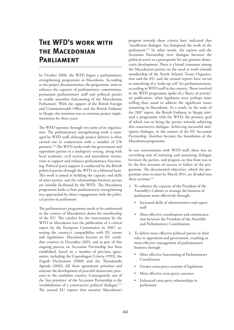## **The WFD's work with THE MACEDONIAN Parliament**

In October 2008, the WFD began a parliamentary strengthening programme in Macedonia. According to the project documentation, the programme 'aims to enhance the capacity of parliamentary commissions, permanent parliamentary staff and political parties to enable smoother functioning of the Macedonian Parliament'. With the support of the British Foreign and Commonwealth Office and the British Embassy in Skopje, the intention was to continue project implementation for three years.

The WFD operates through two arms of its organization. The parliamentary strengthening work is managed by WFD staff, although project delivery is often carried out in conjunction with a number of UK partners.112 The WFD works with the government and opposition parties in a multiparty setting, along with local academic, civil society and journalistic institutions to support and enhance parliamentary functioning. Political party support is conducted by the British political parties through the WFD on a bilateral basis. This work is aimed at building the capacity and skills of sister parties, and the relationships between parties are initially facilitated by the WFD. The Macedonia programme looks at how parliamentary strengthening was approached by direct engagement with the political parties in parliament.

The parliamentary programme needs to be understood in the context of Macedonia's desire for membership of the EU. The catalyst for the intervention by the WFD in Macedonia was the publication of a critical report by the European Commission in 2007, assessing the country's compatibility with EU norms and regulations. Macedonia became an EU candidate country in December 2005, and as part of this ongoing process an Accession Partnership has been established, based on a number of previous agreements, including the Copenhagen Criteria (1993), the Zagreb Declaration (2000) and the Thessaloniki Agenda (2003). All these agreements prioritize and reiterate the development of peaceful democratic processes in the candidate country. Consequently, one of the 'key priorities' of the Accession Partnership is the 'establishment of a constructive political dialogue'.<sup>113</sup> The annual EU reports that monitor Macedonia's

progress towards these criteria have indicated that 'insufficient dialogue' has hampered the work of the parliament.<sup>114</sup> In other words, the reports and the Accession Partnership view dialogue between the political actors as a prerequisite for any genuine democratic development. There is a broad consensus among the Macedonian parties on the need to work towards membership of the North Atlantic Treaty Organization and the EU, and the annual reports have served as something of a 'wake-up call' for parliamentarians, according to WFD staff in the country. Those involved in the WFD programme spoke of a 'flurry of activity' on publication, when legislators were perhaps more willing than usual to address the significant issues remaining in Macedonia. As a result, in the wake of the 2007 report, the British Embassy in Skopje initiated a programme with the WFD, the primary goal of which was to bring the parties towards achieving this constructive dialogue. Achieving successful multiparty dialogue, in the context of the EU Accession Partnership, therefore became the foundation of the Macedonia programme.

In our conversations with WFD staff, there was an overriding aim of initiating and sustaining dialogue between the parties, and progress on this front was to be the first measure of success or failure of the programme. The documented objectives, which the programme aims to meet by March 2011, are divided into three sections:115

- 1. To enhance the capacity of the President of the Assembly's Cabinet to manage the business of parliament more effectively through:
	- Increased skills of administrative and expert staff
	- More effective coordination and communication between the President of the Assembly and Parliamentary Coordinators.
- 2. To deliver more effective political parties in their roles in opposition and government, resulting in more effective management of parliamentary business through
	- More effective functioning of Parliamentary Coordinators
	- Greater cross-party scrutiny of legislation
	- More effective cross-party caucuses
	- Enhanced cross party relationships in parliament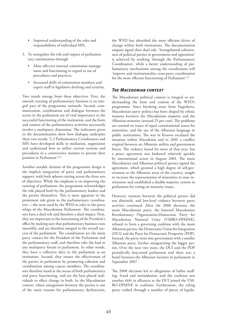- Improved understanding of the roles and responsibilities of individual MPs.
- 3. To strengthen the role and impact of parliamentary commissions through
	- More effective internal commission management and functioning in regard to use of procedures and practices.
	- Increased skills of commission members and expert staff in legislative drafting and scrutiny.

Two trends emerge from these objectives. First, the smooth running of parliamentary business is an integral part of the programme rationale. Second, communication, coordination and dialogue between the actors in the parliament are of vital importance to the successful functioning of the institution, and the form and content of the parliamentary activities necessarily involve a multiparty dimension. The indicators given in the documentation show how dialogue underpins these two trends: '2.2 Parliamentary Coordinators and MPs have developed skills in mediation, negotiation and understand how to utilize current systems and procedures in a constructive manner to present their position in Parliament'.116

Another notable element of the programme design is the implicit integration of party and parliamentary support, with both spheres cutting across the three sets of objectives. While the emphasis is on improving the running of parliament, the programme acknowledges the role played both by the parliamentary leaders and the parties themselves. This is most apparent in the prominent role given to the parliamentary coordinators —the term used by the WFD to refer to the party whips of the Macedonian Parliament. The coordinators have a dual role and therefore a dual impact. First, they are important to the functioning of the President's office by making sure that parliamentary business runs smoothly, and are therefore integral to the overall success of the parliament. The coordinators are the main party contact for the President of the Parliament and the parliamentary staff, and therefore take the lead in any multiparty forum in parliament. In other words, they have a collective duty to the parliament as an institution. Second, they ensure the effectiveness of the parties in parliament by promoting cohesion and coordination among caucus members. The coordinators therefore stand at the nexus of both parliamentary and party functioning, and are the best placed individuals to effect change in both. In the Macedonian context, where antagonism between the parties is one of the main reasons for parliamentary dysfunction,

the WFD has identified the most efficient driver of change within both institutions. The documentation outputs signal their dual role. 'Strengthened cohesiveness of political parties in government and opposition' is achieved by working 'through the Parliamentary Coordinators', while a better understanding of parliamentary mechanisms among the coordinators will 'improve and institutionalise cross-party coordination for the more efficient functioning of Parliament'.117

### *The Macedonian context*

The Macedonian political context is integral to understanding the form and content of the WFD's programme. Since breaking away from Yugoslavia, Macedonian party politics has been shaped by ethnic tensions between the Macedonian majority and the Albanian minority (around 25 per cent). The problems are centred on issues of equal constitutional status for minorities, and the use of the Albanian language in public institutions. The war in Kosovo escalated the situation within Macedonia and in 2001 a conflict erupted between an Albanian militia and government forces. The violence lasted for most of that year, but a peace agreement was brokered relatively quickly by international actors in August 2001. The main Macedonian and Albanian political parties signed the agreement, which granted a high degree of self-government to the Albanian areas of the country, sought to increase the representation of minorities in state institutions and established a double-majority system in parliament for voting on minority issues.

However, tensions between the political parties did not diminish, and low-level violence between party activists continued. After the 2006 elections, the main Macedonian party, the Internal Macedonian Revolutionary Organization-Democratic Party for Macedonian National Unity (VMRO-DPMNE), refused to form a governing coalition with the main Albanian parties, the Democratic Union for Integration (DUI) and the Party for Democratic Prosperity (PDP). Instead, the party went into government with a smaller Albanian party, further antagonizing the bigger parties. Over the next two years, the DUI and the PDP periodically boycotted parliament and there was a brawl between the Albanian factions in parliament in September 2007.

The 2008 elections led to allegations of ballot stuffing, fraud and intimidation, and the coalition saw another shift in alliances as the DUI joined the VM-RO-DPMNE in coalition. Furthermore, the ruling party rushed through a number of pieces of legisla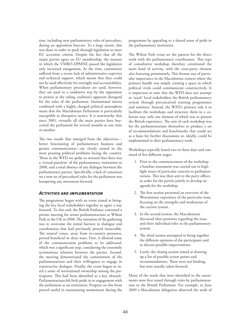tion, including new parliamentary rules of procedure, during an opposition boycott. To a large extent, this was done in order to push through legislation to meet EU accession criteria. Despite the fact that all the major parties agree on EU membership, the manner in which the VMRO-DPMNE passed the legislation only increased antagonism. At the time, committees suffered from a severe lack of administrative expertise and technical support, which meant that they could not be used effectively for oversight and accountability. When parliamentary procedures are used, however, they are used in a combative way by the opposition to protest at the ruling coalition's apparent disregard for the rules of the parliament. Institutional inertia combined with a highly charged political atmosphere mean that the Macedonian Parliament is particularly susceptible to disruptive tactics. It is noteworthy that since 2001, virtually all the main parties have boycotted the parliament for several months at one time or another.

The two trends that emerged from the objectives better functioning of parliamentary business and greater communication—are clearly rooted in the most pressing political problems facing the country. Those in the WFD we spoke to stressed that there was a 'virtual paralysis' of the parliamentary institution in 2008, and a total absence of any dialogue between the parliamentary parties. Specifically, a lack of consensus on a new set of procedural rules for the parliament was hampering any movement forward.

#### *Activities and implementation*

The programme began with an event aimed at bringing the key local stakeholders together to agree a way forward. To this end, the British Embassy convened a private meeting for senior parliamentarians at Wilton Park in the UK in 2008. The intention of the gathering was to overcome the initial barriers to dialogue and coordination that had previously proved intractable. The neutral venue, away from in-country pressures, proved beneficial in three ways. First, it allowed some of the communication problems to be addressed, which was a significant step, considering the extremely acrimonious relations between the parties. Second, the meeting demonstrated the commitment of the parliamentarians and their willingness to engage in constructive dialogue. Finally, the event began to instil a sense of institutional ownership among the participants. This had been identified as a key obstacle. Parliamentarians felt little pride in or engagement with the parliament as an institution. Progress on this front proved useful in maintaining momentum during the programme by appealing to a shared sense of pride in the parliamentary institution.

The Wilton Park event set the pattern for the direct work with the parliamentary coordinators. This type of consultative workshop therefore constituted the main kind of activity, with the cross-party element also featuring prominently. This format was of particular importance in the Macedonian context where the primary hurdle was simply creating a space in which political rivals could communicate constructively. It is important to note that the WFD does not attempt to 'teach' local stakeholders the British parliamentary system through preconceived training programmes and seminars. Instead, the WFD's primary role is to facilitate the workshops and structure them in a coherent way, only one element of which was to present the British experience. The aim of each workshop was for the parliamentarians themselves to produce a set of recommendations and benchmarks that could act as a basis for further discussions or, ideally, could be implemented in their parliamentary work.

Workshops typically lasted two or three days and consisted of five different stages:

- 1. Prior to the commencement of the workshop a baseline assessment was carried out to highlight issues of particular concern to parliamentarians. This was then sent to the party offices in order for the parties jointly to develop an agenda for the workshop.
- 2. The first session presented an overview of the Westminster experience of the particular issue, focusing on the strengths and weaknesses of the current system.
- 3. In the second session, the Macedonians discussed their positions regarding the issue and their individual roles in the parliamentary system.
- 4. The third session attempted to bring together the different opinions of the participants and to discuss possible improvements.
- 5. Lastly, the closing session aimed at drawing up a list of possible action points and recommendations. These were not binding, but were usually taken forward.

Many of the needs that were identified in the assessments were first raised through visits by parliamentarians to the British Parliament. For example, in June 2009 a Macedonian delegation observed the work of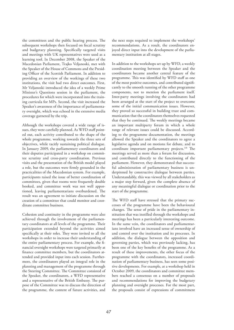the committees and the public hearing process. The subsequent workshops then focused on fiscal scrutiny and budgetary planning. Specifically targeted visits and meetings with UK representatives were used as a learning tool. In December 2008, the Speaker of the Macedonian Parliament, Trajko Veljanoski, met with the Speaker of the House of Commons and the Presiding Officer of the Scottish Parliament. In addition to providing an overview of the workings of these two institutions, the visit had two direct outcomes. First, Mr Veljanoski introduced the idea of a weekly Prime Minister's Questions session in the parliament, the procedures for which were incorporated into the training curricula for MPs. Second, the visit increased the Speaker's awareness of the importance of parliamentary oversight, which was echoed in the extensive media coverage garnered by the trip.

Although the workshops covered a wide range of issues, they were carefully planned. As WFD staff pointed out, each activity contributed to the shape of the whole programme, working towards the three sets of objectives, while tacitly sustaining political dialogue. In January 2009, the parliamentary coordinators and their deputies participated in a workshop on committee scrutiny and cross-party coordination. Previous visits and the presentation of the British model played a role, but the outcomes were firmly grounded in the practicalities of the Macedonian system. For example, participants raised the issue of better coordination of committees, given that rooms were frequently double booked, and committee work was not well apportioned, leaving parliamentarians overburdened. The result was an agreement to initiate discussion on the creation of a committee that could monitor and coordinate committee business.

Cohesion and continuity in the programme were also achieved through the involvement of the parliamentary coordinators at all levels of the programme. Their participation extended beyond the activities aimed specifically at their roles. They were invited to all the workshops in order to increase their understanding of the entire parliamentary process. For example, the financial oversight workshops were targeted primarily at finance committee members, but the coordinators attended and provided input into each session. Furthermore, the coordinators played an integral role in the planning and management of the programme through the Steering Committee. The Committee consisted of the Speaker, the coordinators, a WFD representative and a representative of the British Embassy. The purpose of the Committee was to discuss the direction of the programme, the content of future activities, and

the next steps required to implement the workshops' recommendations. As a result, the coordinators enjoyed direct input into the development of the parliamentary institution at all stages.

In addition to the workshops set up by WFD, a weekly coordination meeting between the Speaker and the coordinators became another central feature of the programme. This was identified by WFD staff as one of the most positive outcomes, and contributed significantly to the smooth running of the other programme components, not to mention the parliament itself. Inter-party meetings involving the coordinators had been arranged at the start of the project to overcome some of the initial communication issues. However, they proved so successful in building trust and communication that the coordinators themselves requested that they be continued. The weekly meetings became an important multiparty forum in which a whole range of relevant issues could be discussed. According to the programme documentation, the meetings allowed the Speaker and the coordinators to agree a legislative agenda and on motions for debate, and to coordinate important parliamentary projects.<sup>118</sup> The meetings served as more than a forum for discussion, and contributed directly to the functioning of the parliament. However, they demonstrated that successful administration of parliamentary business is underpinned by constructive dialogue between parties. Understandably, this was viewed by all stakeholders as a major step forward, given the complete absence of any meaningful dialogue or coordination prior to the start of the programme.

The WFD staff have stressed that the primary successes of the programme have been the behavioural changes. The sense of pride in the parliamentary institution that was instilled through the workshops and meetings has been a particularly interesting outcome. In the same vein, the coordinators and parliamentarians involved have an increased sense of ownership of and control over the institution and its processes. In addition, the dialogue between the opposition and governing parties, which was previously lacking, has been one of the key benefits of the programme. As a result of these improvements, the other focus of the programme with the coordinators, increased coordination of parliamentary business, has seen some positive developments. For example, at a workshop held in October 2009, the coordinators and committee members reached a consensus on a number of proposals and recommendations for improving the budgetary planning and oversight processes. For the most part, the proposals consist of expressions of commitment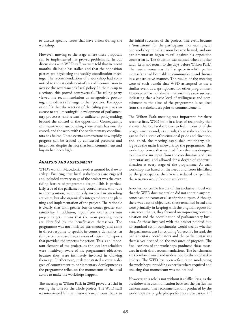to discuss specific issues that have arisen during the workshop.

However, moving to the stage where these proposals can be implemented has proved problematic. In our discussions with WFD staff, we were told that in recent months, dialogue has stalled and that the opposition parties are boycotting the weekly coordination meetings. The recommendations of a workshop had committed to the establishment of an audit commission to oversee the government's fiscal policy. In the run-up to elections, this proved controversial. The ruling party viewed the recommendation as antagonistic posturing, and a direct challenge to their policies. The opposition felt that the reaction of the ruling party was an excuse to stall meaningful development of parliamentary processes, and return to unilateral policymaking beyond the control of the opposition. Consequently, communication surrounding these issues has entirely ceased, and the work with the parliamentary coordinators has halted. These events demonstrate how rapidly progress can be eroded by contextual pressures and incentives, despite the fact that local commitment and buy-in had been high.

### *Analysis and assessment*

WFD's work in Macedonia revolves around local ownership. Ensuring that local stakeholders are engaged and included at every stage of the project was the overriding feature of programme design. This is particularly true of the parliamentary coordinators, who, due to their position, were not only involved in attending activities, but also organically integrated into the planning and implementation of the project. The rationale is clearly that with greater buy-in comes greater sustainability. In addition, input from local actors into project targets means that the most pressing needs are identified by the beneficiaries themselves. The programme was not initiated extraneously, and came in direct response to specific in-country dynamics. In this particular case, it was a series of critical EU reports that provided the impetus for action. This is an important element of the project, as the local stakeholders were intuitively aware of the programme's objectives because they were intimately involved in drawing them up. Furthermore, it demonstrated a certain degree of commitment to parliamentary development as the programme relied on the momentum of the local actors to make the workshops happen.

The meeting at Wilton Park in 2008 proved crucial in setting the tone for the whole project. The WFD staff we interviewed felt that this was a major contributor to

the initial successes of the project. The event became a 'touchstone' for the participants. For example, at one workshop the discussion became heated, and one parliamentarian began to rail against his opposition counterparts. The situation was calmed when another said: 'Let's not return to the days before Wilton Park'. The neutral venue was the first space in which parliamentarians had been able to communicate and discuss in a constructive manner. The results of the meeting were of such benefit that WFD attempted to use a similar event as a springboard for other programmes. However, it has not always met with the same success, indicating that a basic level of willingness and commitment to the aims of the programme is required from the stakeholders prior to commencement.

The Wilton Park meeting was important for three reasons: first, WFD built in a level of reciprocity that allowed the local stakeholders to feel in control of the programme; second, as a result, these stakeholders began to feel a sense of institutional pride and direction; and, third, the meeting established multiparty dialogue as the main framework for the programme. The workshop format that resulted from this was designed to allow maxim input from the coordinators and parliamentarians, and allowed for a degree of contextualization at every stage of the programme. As each workshop was based on the needs and issues identified by the participants, there was a reduced danger that the activities would become irrelevant.

Another noticeable feature of this inclusive model was that the WFD documentation did not contain any preconceived indicators or a list of prior outputs. Although there was a set of objectives, these remained broad and were primarily in keeping with the original request for assistance, that is, they focused on improving communication and the coordination of parliamentary business. As those involved with the project pointed out, no standard set of benchmarks would decide whether the parliament was functioning 'correctly'. Instead, the parliamentary coordinators and the parliamentarians themselves decided on the measures of progress. The final sessions of the workshops produced these measures in their draft recommendations. The benchmarks are therefore owned and understood by the local stakeholders. The WFD has been a facilitator, moderating the workshops, providing expertise where required and ensuring that momentum was maintained.

However, this role is not without its difficulties, as the breakdown in communication between the parties has demonstrated. The recommendations produced by the workshops are largely pledges for more discussion. Of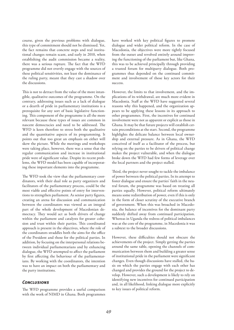course, given the previous problems with dialogue, this type of commitment should not be dismissed. Yet, the fact remains that concrete steps and real institutional changes remain scant, and early in 2010, when establishing the audit commission became a reality, there was a serious rupture. The fact that the WFD programme did not overtly engage with the sources of these political sensitivities, not least the dominance of the ruling party, meant that they cast a shadow over the discussions.

This is not to detract from the value of the more intangible, qualitative outcomes of the programme. On the contrary, addressing issues such as a lack of dialogue or a dearth of pride in parliamentary institutions is a prerequisite for any sort of basic legislative functioning. This component of the programme is all the more relevant because these types of issues are common in nascent democracies and need to be addressed. The WFD is keen therefore to stress both the qualitative and the quantitative aspects of its programming. It points out that too great an emphasis on either will skew the picture. While the meetings and workshops were taking place, however, there was a sense that the regular communication and increase in institutional pride were of significant value. Despite its recent problems, the WFD model has been capable of incorporating these important elements into the programme.

The WFD took the view that the parliamentary coordinators, with their dual role as party organizers and facilitators of the parliamentary process, could be the most viable and effective points of entry for interventions to strengthen parliament. As senior party figures, creating an arena for discussion and communication between the coordinators was viewed as an integral part of the whole development of Macedonian democracy. They would act as both drivers of change within the parliament and catalysts for greater cohesion and trust within their parties. This coordinated approach is present in the objectives, where the role of the coordinators straddles both the aims for the office of the President and those for the political parties. In addition, by focusing on the interpersonal relations between individual parliamentarians and by enhancing dialogue, the WFD attempted to affect the parliament by first affecting the behaviour of the parliamentarians. By working with the coordinators, the intention was to have an impact on both the parliamentary and the party institutions.

#### *Conclusions*

The WFD programme provides a useful comparison with the work of NIMD in Ghana. Both programmes have worked with key political figures to promote dialogue and wider political reform. In the case of Macedonia, the objectives were more tightly focused from the outset and revolved entirely around improving the functioning of the parliament but, like Ghana, this was to be achieved principally through providing a trusted forum for multiparty dialogue. Both programmes thus depended on the continued commitment and involvement of those key actors for their success.

However, the limits to that involvement, and the implications of its withdrawal, are much more evident in Macedonia. Staff at the WFD have suggested several reasons why this happened, and the organization appears to be applying these lessons in its approach to other programmes. First, the incentives for continued involvement were not as apparent or explicit as those in Ghana. It may be that future projects will establish certain preconditions at the start. Second, the programme highlights the delicate balance between local ownership and external pressure. As in Ghana, the WFD conceived of itself as a facilitator of the process, but relying on the parties to be drivers of political change makes the project vulnerable, and when the dialogue broke down the WFD had few forms of leverage over the local partners and the project stalled.

Third, the project never sought to tackle the imbalance of power between the political parties. In its attempt to foster dialogue and ensure the parties' faith in the neutral forum, the programme was based on treating all parties equally. However, political reform ultimately means some redistribution of power, even if this is only in the form of closer scrutiny of the executive branch of government. When this was broached in Macedonia, the balance of incentives for the dominant party suddenly shifted away from continued participation. Whereas in Uganda the redress of political imbalances was at the core of the programme, in Macedonia it was a subtext to the broader discussions.

However, these difficulties should not obscure the achievements of the project. Simply getting the parties around the same table, opening the channels of communication between them and building a greater sense of institutional pride in the parliament were significant changes. Even though discussions have stalled, the basis on which the parties engage with each other has changed and provides the ground for the project to develop. However, such a development is likely to rely on identifying new incentives for continued participation and, in all likelihood, linking dialogue more explicitly to key issues of political reform.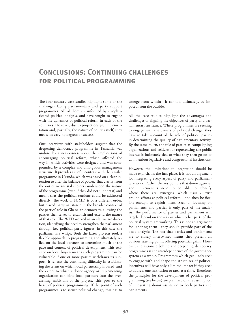### **CONCLUSIONS: CONTINUING CHALLENGES for political programming**

The four country case studies highlight some of the challenges facing parliamentary and party support programmes. All of them are informed by a sophisticated political analysis, and have sought to engage with the dynamics of political reform in each of the countries. However, due to project design, implementation and, partially, the nature of politics itself, they met with varying degrees of success.

Our interviews with stakeholders suggest that the deepening democracy programme in Tanzania was undone by a nervousness about the implications of encouraging political reform, which affected the way in which activities were designed and was compounded by a complex and ambiguous management structure. It provides a useful contrast with the similar programme in Uganda, which was based on a clear intention to alter the balance of power. That clarity from the outset meant stakeholders understood the nature of the programme (even if they did not support it) and meant that the political tensions could be addressed directly. The work of NIMD is of a different order, but placed party assistance in the broader context of the parties' role in Ghanaian democracy, allowing the parties themselves to establish and extend the nature of that role. The WFD worked in an alternative direction, identifying the need to strengthen the parliament through key political party figures, in this case the parliamentary whips. Both the latter projects took a flexible approach to programming and ultimately relied on the local partners to determine much of the pace and content of political development. This reliance on local buy-in means such programmes can be vulnerable if one or more parties withdraws its support. It reflects the continuing difficulty in establishing the terms on which local partnership is based, and the extent to which a donor agency or implementing organization can bind local partners into the overarching ambitions of the project. This goes to the heart of political programming. If the point of such programmes is to secure political change, this has to

emerge from within—it cannot, ultimately, be imposed from the outside.

All the case studies highlight the advantages and challenges of aligning the objectives of party and parliamentary assistance. Where programmes are seeking to engage with the drivers of political change, they have to take account of the role of political parties in determining the quality of parliamentary activity. By the same token, the role of parties as campaigning organizations and vehicles for representing the public interest is intimately tied to what they then go on to do in various legislative and congressional institutions.

However, the limitations to integration should be made explicit. In the first place, it is not an argument for integrating every aspect of party and parliamentary work. Rather, the key point is that donor agencies and implementers need to be able to identify where there are synergies—which usually exist around efforts at political reform—and then be flexible enough to exploit them. Second, focusing on parliaments and parties is only part of the analysis. The performance of parties and parliament will largely depend on the way in which other parts of the political system are working. This is not an argument for ignoring them—they should provide part of the basic analysis. The fact that parties and parliaments are so closely intertwined means they present an obvious starting point, offering potential gains. However, the rationale behind the deepening democracy programmes is the interdependence of the governance system as a whole. Programmes which genuinely seek to engage with and shape the structures of political incentives will have only a limited impact if they seek to address one institution or area at a time. Therefore, the principles for the development of political programming (see below) are premised on the assumption of integrating donor assistance to both parties and parliaments.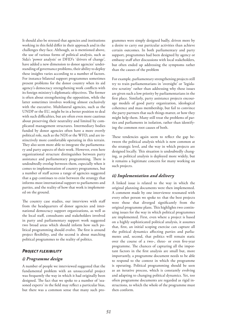It should also be stressed that agencies and institutions working in this field differ in their approach and in the challenges they face. Although, as is mentioned above, the use of various forms of political analysis, such as Sida's 'power analysis' or DFID's 'drivers of change', have added a new dimension to donor agencies' understanding of governance problems, their ability to deploy these insights varies according to a number of factors. For instance bilateral support programmes sometimes present problems for the donor country when its aid agency's democracy strengthening work conflicts with its foreign ministry's diplomatic objectives. The former is often about strengthening the opposition, while the latter sometimes involves working almost exclusively with the executive. Multilateral agencies, such as the UNDP or the EU, might be in a better position to deal with such difficulties, but are often even more cautious about preserving their neutrality and limited by complicated management structures. Intermediary bodies funded by donor agencies often have a more overtly political role, such as the NDI or the WFD, and are instinctively more comfortable operating in this terrain. They also seem more able to integrate the parliamentary and party aspects of their work. However, even here organizational structure distinguishes between party assistance and parliamentary programming. There is undoubtedly overlap between them, especially when it comes to implementation of country programmes, but a number of staff across a range of agencies suggested that a gap continues to exist between the strategy that informs most international support to parliaments and parties, and the reality of how that work is implemented on the ground.

The country case studies, our interviews with staff from the headquarters of donor agencies and international democracy support organizations, as well as the local staff, consultants and stakeholders involved in party and parliamentary support work suggested two broad areas which should inform how such political programming should evolve. The first is around project flexibility, and the second is about matching political programmes to the reality of politics.

### *Project flexibility*

#### *i) Programme design*

A number of people we interviewed suggested that the fundamental problem with an unsuccessful project was frequently the way in which it had originally been designed. The fact that we spoke to a number of 'seasoned experts' in the field may reflect a particular bias, but there was a common sense that many such programmes were simply designed badly, driven more by a desire to carry out particular activities than achieve certain outcomes. In both parliamentary and party support, programmes had been designed by agency or embassy staff after discussions with local stakeholders, but often ended up addressing the symptoms rather than the causes of the problem

For example, parliamentary strengthening projects still try to train parliamentarians in 'oversight' or 'legislative scrutiny' rather than addressing why these issues are given such a low priority by parliamentarians in the first place. Similarly, party assistance projects encourage models of good party organization, ideological coherence and mass membership, but fail to convince the party partners that such things matter, or how they might help them. Many still treat the problems of parties and parliaments in isolation, rather than identifying the common root causes of both.

These tendencies again seem to reflect the gap between the political analysis which is now common at the strategic level, and the way in which projects are designed locally. This situation is undoubtedly changing, as political analysis is deployed more widely, but it remains a legitimate concern for many working on such projects.

#### *ii) Implementation and delivery*

A linked issue is related to the way in which the original planning documents were then implemented. A comment made by one interviewee resonated with every other person we spoke to: that the best projects were those that diverged significantly from the original programme plans. This highlights two continuing issues for the way in which political programmes are implemented. First, even where a project is based on a highly sophisticated political analysis, it assumes that, first, an initial scoping exercise can capture all the political dynamics affecting parties and parliaments and, second, that politics will remain static over the course of a two-, three- or even five-year programme. The chances of capturing all the important factors in the first analysis are small but, more importantly, a programme document needs to be able to respond to the context in which the programme is operating. Political programming should be seen as an iterative process, which is constantly evolving and adapting to changing political dynamics. Yet, too often programme documents are regarded as rigid instructions, to which the whole of the programme must then conform.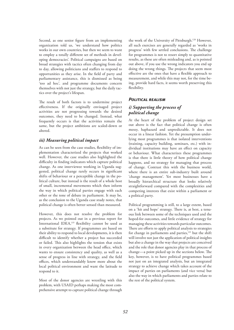Second, as one senior figure from an implementing organization told us, 'we understand how politics works in our own countries, but then we seem to want to employ a totally different set of methods in developing democracies'. Political campaigns are based on broad strategies with tactics often changing from day to day, allowing politicians and staffers to respond to opportunities as they arise. In the field of party and parliamentary assistance, this is dismissed as being 'too ad hoc', and programme documents concern themselves with not just the strategy, but the daily tactics over the project's lifespan.

The result of both factors is to undermine project effectiveness. If the originally envisaged project activities are not progressing towards the desired outcomes, they need to be changed. Instead, what frequently occurs is that the activities remain the same, but the project ambitions are scaled-down or altered.

### *iii) Measuring political impact*

As can be seen from the case studies, flexibility of implementation characterized the projects that worked well. However, the case studies also highlighted the difficulty in finding indicators which capture political change. As one interviewee working in Uganda suggested, political change rarely occurs in significant shifts of behaviour or a perceptible change in the political culture, but instead is the result of a whole host of small, incremental movements which then inform the way in which political parties engage with each other or the tone of debate in parliament. It may be, as the conclusion to the Uganda case study notes, that political change is often better sensed than measured.

However, this does not resolve the problem for projects. As we pointed out in a previous report for International IDEA,<sup>119</sup> flexibility cannot be used as a substitute for strategy. If programmes are based on their ability to respond to local developments, it is then difficult to identify whether a project has succeeded or failed. This also highlights the tension that exists in every organization between the head office, which wants to ensure consistency and quality, as well as a sense of progress in line with strategy, and the field offices, which understandably know more about the local political environment and want the latitude to respond to it.

Most of the donor agencies are wrestling with this problem, with USAID perhaps making the most comprehensive attempt to capture political change through the work of the University of Pittsburgh.120 However, all such exercises are generally regarded as 'works in progress' with few settled conclusions. The challenge for programmes is not to resort simply to quantitative results, as these are often misleading and, as is pointed out above, if you use the wrong indicators you end up doing the wrong things. The projects that seem most effective are the ones that have a flexible approach to measurement, and while this may not, for the time being, provide hard facts, it seems worth preserving this flexibility.

### *Political realism*

### *i) Supporting the process of political change*

At the heart of the problem of project design set out above is the fact that political change is often messy, haphazard and unpredictable. It does not occur in a linear fashion. Yet the presumption underlying most programmes is that isolated interventions (training, capacity building, seminars, etc.) with individual institutions may have an effect on capacity or behaviour. What characterizes these programmes is that there is little theory of how political change happens, and no strategy for managing that process of change. Contrast this with the business world, where there is an entire sub-industry built around 'change management'. Yet most businesses have a broadly hierarchical structure that looks relatively straightforward compared with the complexities and competing interests that exist within a parliament or a political party.

Political programming is still, to a large extent, based on a 'hit and hope' strategy. There is, at best, a tenuous link between some of the techniques used and the hoped-for outcomes, and little evidence of strategy for managing these activities towards particular outcomes. There are efforts to apply political analysis to strategies for change in parliaments and parties, $121$  but the shift will involve not just the application of political insights but also a change in the way that projects are conceived and the role that donor agencies play in that process of change—a point picked up in the sections below. The key, however, is to have political programmes based not just on an integrated analysis, but an integrated strategy to achieve change which takes account of the impact of parties on parliaments (and vice versa) but also the way in which parliaments and parties relate to the rest of the political system.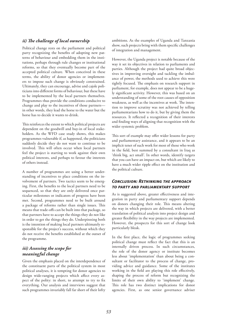### *ii) The challenge of local ownership*

Political change rests on the parliament and political party recognizing the benefits of adopting new patterns of behaviour and embedding them in the institutions, perhaps through rule changes or institutional reforms, so that they eventually become part of the accepted political culture. When conceived in these terms, the ability of donor agencies or implementers to impose such change is obviously constrained. Ultimately, they can encourage, advise and cajole politicians into different forms of behaviour, but these have to be implemented by the local partners themselves. Programmes thus provide the conditions conducive to change and play to the incentives of those partners in other words, they lead the horse to the water but the horse has to decide it wants to drink.

This reinforces the extent to which political projects are dependent on the goodwill and buy-in of local stakeholders. As the WFD case study shows, this makes programmes vulnerable if, as happened, the politicians suddenly decide they do not want to continue to be involved. This will often occur when local partners feel the project is starting to work against their own political interests, and perhaps to favour the interests of others instead.

A number of programmes are using a better understanding of incentives to place conditions on the involvement of partners. Two tactics seem to be emerging. First, the benefits to the local partners need to be sequenced, so that they are only delivered once particular milestones or indicators of progress have been met. Second, programmes need to be built around a package of reforms rather than single issues. This means that trade-offs can be built into that package, so that partners have to accept the things they do not like in order to get the things they do. Underpinning both is the intention of making local partners ultimately responsible for the project's success, without which they do not receive the benefits established at the outset of the programme.

### *iii) Assessing the scope for meaningful change*

Given the emphasis placed on the interdependence of the constituent parts of the political system in most political analyses, it is tempting for donor agencies to design wide-ranging projects which affect every aspect of the polity: in short, to attempt to try to fix everything. Our analysis and interviews suggest that such programmes invariably fall far short of their lofty ambitions. As the examples of Uganda and Tanzania show, such projects bring with them specific challenges of integration and management.

However, the Uganda project is notable because of the way it set its objectives in relation to parliaments and parties. Although the project had quite broad objectives in improving oversight and tackling the imbalance of power, the methods used to achieve this were tightly focused. The emphasis on research support in parliament, for example, does not appear to be a hugely significant activity. However, this was based on an understanding of some of the root causes of opposition weakness, as well as the incentives at work. The intention to improve scrutiny was not achieved by telling parliamentarians how to do it, but by giving them the resources. It reflected a recognition of their interests and finding ways of aligning that recognition with the wider systemic problem.

This sort of example may offer wider lessons for party and parliamentary assistance, and it appears to be an implicit tenet of such work for most of those who work in the field, best summed by a consultant in Iraq as 'think big, act small'. In other words, identify targets that you can have an impact on, but which are likely to have a much wider ripple effect on the institution and the political culture.

### *Conclusion: Rethinking the approach to party and parliamentary support*

As is suggested above, greater effectiveness and integration in party and parliamentary support depends on donors changing their role. This means altering the way in which projects are delivered, with a better translation of political analysis into project design and greater flexibility in the way projects are implemented. However, the prospects for this sort of change look particularly bleak.

In the first place, the logic of programmes seeking political change must reflect the fact that this is an internally driven process. In such circumstances, the role of the donor agency or institute becomes less about 'implementation' than about being a consultant or facilitator to the process of change, providing advice and guidance. Some of the institutes working in the field are playing this role effectively, shaping the process of reform but recognizing the limits of their own ability to 'implement' change. This role has two distinct implications for donor agencies. First, as one senior governance adviser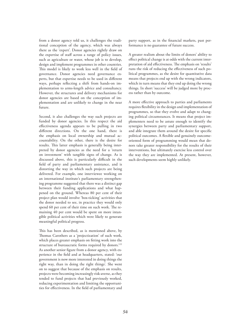from a donor agency told us, it challenges the traditional conception of the agency, which was always there as the 'expert'. Donor agencies rightly draw on the expertise of staff across a range of policy issues, such as agriculture or water, whose job is to develop, design and implement programmes in other countries. This model is likely to work less well in the field of governance. Donor agencies need governance experts, but that expertise needs to be used in different ways, perhaps reflecting a shift from hands-on implementation to arms-length advice and consultancy. However, the structures and delivery mechanisms for donor agencies are based on the conception of implementation and are unlikely to change in the near future.

Second, it also challenges the way such projects are funded by donor agencies. In this respect the aid effectiveness agenda appears to be pulling in two different directions. On the one hand, there is the emphasis on local ownership and mutual accountability. On the other, there is the desire for results. This latter emphasis is generally being interpreted by donor agencies as the need for a 'return on investment' with tangible signs of change. As is discussed above, this is particularly difficult in the field of party and parliamentary assistance, and is distorting the way in which such projects are being delivered. For example, one interviewee working on an international institute's parliamentary strengthening programme suggested that there was a distinct gap between their funding applications and what happened on the ground. Whereas 80 per cent of their project plan would involve 'box-ticking' activities that the donor needed to see, in practice they would only spend 60 per cent of their time on such work. The remaining 40 per cent would be spent on more intangible political activities which were likely to generate meaningful political progress.

This has been described, as is mentioned above, by Thomas Carothers as a 'projectization' of such work, which places greater emphasis on fitting work into the structure of bureaucratic forms required by donors.<sup>122</sup> As another senior figure from a donor agency, with experience in the field and at headquarters, stated: 'our government is now more interested in doing things the right way, than in doing the right things'. She went on to suggest that because of the emphasis on results, projects were becoming increasingly risk-averse, as they tended to fund projects that had previously worked, reducing experimentation and limiting the opportunities for effectiveness. In the field of parliamentary and party support, as in the financial markets, past performance is no guarantee of future success.

A greater realism about the limits of donors' ability to effect political change is at odds with the current interpretation of aid effectiveness. The emphasis on 'results' runs the risk of reducing the effectiveness of such political programmes, as the desire for quantitative data means that projects end up with the wrong indicators, which in turn means that they end up doing the wrong things. In short 'success' will be judged more by process rather than by outcome.

A more effective approach to parties and parliaments requires flexibility in the design and implementation of programmes, so that they evolve and adapt to changing political circumstances. It means that project implementers need to be astute enough to identify the synergies between party and parliamentary support, and able integrate them around the desire for specific political outcomes. A flexible and genuinely outcomeoriented form of programming would mean that donors take greater responsibility for the results of their interventions, but ultimately exercise less control over the way they are implemented. At present, however, such developments seem highly unlikely.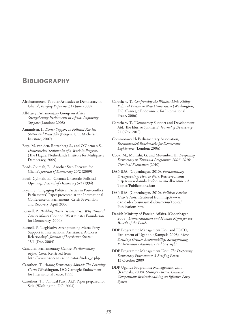### **Bibliography**

- Afrobarometer, 'Popular Attitudes to Democracy in Ghana', *Briefing Paper no. 51* (June 2008)
- All-Party Parliamentary Group on Africa, *Strengthening Parliaments in Africa: Improving Support* (London: 2008)
- Amundsen, I., *Donor Support to Political Parties: Status and Principles* (Bergen: Chr. Michelsen Institute, 2007)
- Berg, M. van den, Rottenberg S., and O'Gorman,S., *Democracies: Testimonies of a Work in Progress.* (The Hague: Netherlands Institute for Multiparty Democracy, 2009)
- Boadi-Gyimah, E., 'Another Step Forward for Ghana', *Journal of Democracy* 20/2 (2009)
- Boadi-Gyimah, E., 'Ghana's Uncertain Political Opening', *Journal of Democracy* 5/2 (1994)
- Bryan, S., 'Engaging Political Parties in Post-conflict Parliaments', Paper presented at the International Conference on Parliaments, Crisis Prevention and Recovery, April 2006
- Burnell, P., *Building Better Democracies: Why Political Parties Matter* (London: Westminster Foundation for Democracy, 2004)
- Burnell, P., 'Legislative Strengthening Meets Party Support in International Assistance: A Closer Relationship', *Journal of Legislative Studies* 15/4 (Dec. 2004)
- Canadian Parliamentary Centre. *Parliamentary Report Card*, Retrieved from http://www.parlcent.ca/indicators/index\_e.php
- Carothers, T., *Aiding Democracy Abroad: The Learning Curve* (Washington, DC: Carnegie Endowment for International Peace, 1999)
- Carothers, T., 'Political Party Aid', Paper prepared for Sida (Washington, DC: 2004)
- Carothers, T., *Confronting the Weakest Link: Aiding Political Parties in New Democracies* (Washington, DC: Carnegie Endowment for International Peace, 2006)
- Carothers, T., 'Democracy Support and Development Aid: The Elusive Synthesis', *Journal of Democracy* 21 (Nov. 2010)
- Commonwealth Parliamentary Association, *Recommended Benchmarks for Democratic Legislatures* (London: 2006)
- Cook, M., Munishi, G. and Mutembei, K., *Deepening Democracy in Tanzania Programme 2007–2010: Terminal Evaluation* (2010)
- DANIDA. (Copenhagen, 2010). *Parliamentary Strengthening: How to Note.* Retrieved from http://www.danidadevforum.um.dk/en/menu/ Topics/Publications.htm
- DANIDA. (Copenhagen, 2010). *Political Parties: How to Note.* Retrieved from http://www. danidadevforum.um.dk/en/menu/Topics/ Publications.htm
- Danish Ministry of Foreign Affairs. (Copenhagen, 2009). *Democratisation and Human Rights for the Benefit of the People.*
- DDP Programme Management Unit and PDCO, Parliament of Uganda. (Kampala,2008). *More Scrutiny; Greater Accountability: Strengthening Parliamentary Autonomy and Oversight.*
- DDP Programme Management Unit, *The Deepening Democracy Programme: A Briefing Paper,* 13 October 2009
- DDP Uganda Programme Management Unit, (Kampala, 2008). *Stronger Parties: Genuine Competition: Institutionalising an Effective Party System*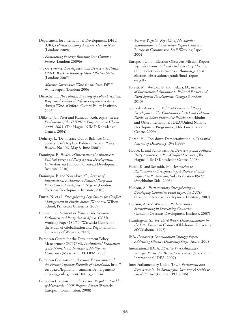- Department for International Development, DFID (UK), *Political Economy Analysis: How to Note* (London: 2009a)
- —. *Eliminating Poverty: Building Our Common Future* (London: 2009b)
- —. *Governance, Development and Democratic Politics: DFID's Work in Building More Effective States* (London: 2007)
- —. *Making Governance Work for the Poor,* DFID White Paper. (London: 2006)
- Dietsche, E., *The Political Economy of Policy Decisions: Why Good Technical Reform Programmes don't Always Work.* (Oxford: Oxford Policy Institute, 2003)
- Dijkstra, Jan Peter and Kumado, Kofi, *Report on the Evaluation of the IMD/IEA Programme in Ghana 2000–2003.* (The Hague: NIMD Knowledge Centre, 2004)
- Doherty, I., 'Democracy Out of Balance: Civil Society Can't Replace Political Parties', *Policy Review,* No 106, May & June (2001)
- Domingo, P., *Review of International Assistance to Political Party and Party System Development: Latin America* (London: Overseas Development Institute, 2010)
- Domingo, P. and Nwankwo, C., *Review of International Assistance to Political Party and Party System Development: Nigeria* (London: Overseas Development Institute, 2010)
- Dutta, N. et al., *Strengthening Legislatures for Conflict Management in Fragile States* (Woodrow Wilson School, Princeton University, 2007)
- Erdman, G., *Hesitant Bedfellows: The German Stiftungen and Party Aid in Africa.* CGSR Working Paper 184/50 (Warwick: Centre for the Study of Globalisation and Regionalisation, University of Warwick, 2005)
- European Centre for the Development Policy Management (ECDPM), *Institutional Evaluation of the Netherlands Institute of Mulitparty Democracy* (Maastricht: ECDPM, 2005)
- European Commission, *Accession Partnership with the Former Yugoslav Republic of Macedonia,* http:// europa.eu/legislation\_summaris/enlargement/ ongoing\_enlargement/r18013\_en.htm
- European Commission, *The Former Yugoslav Republic of Macedonia: 2008 Progress Report* (Brussels: European Commission, 2008)
- —. *Former Yugoslav Republic of Macedonia: Stabilisation and Association Report* (Brussels: European Commission Staff Working Paper, 2004)
- European Union Election Observers Mission Report, *Uganda Presidential and Parliamentary Elections* (2006) <http://eeas.europa.eu/human\_rights/ election\_observation/uganda/final\_report\_ en.pdf>
- Foresti, M., Welton, G. and Jijelava, D., *Review of International Assistance to Political Parties and Party System Development: Georgia* (London: 2010)
- Gonzalez Acosta, E., *Political Parties and Policy Development: The Conditions which Lead Political Parties to Adopt Progressive Policies* (Stockholm and Oslo: International IDEA/United Nations Development Programme, Oslo Governance Centre, 2009)
- Goran, H., 'Top-down Democratization in Tanzania', *Journal of Democracy* 10/4 (1999)
- Hoove, L. and Scholtbach, A. *Democracy and Political Party Assistance in Post-Conflict Societies.* (The Hague: NIMD Knowledge Centre, 2008)
- Hubli, K. and Schmidt, M., *Approaches to Parliamentary Strengthening: A Review of Sida's Support to Parliaments,* Sida Evaluation 05/27 (Stockholm: Sida, 2005)
- Hudson, A., *Parliamentary Strengthening in Developing Countries: Final Report for DFID* (London: Overseas Development Institute, 2007)
- Hudson, A. and Wren, C., *Parliamentary Strengthening in Developing Countries* (London: Overseas Development Institute, 2007)
- Huntington, S., *The Third Wave: Democratization in the Late Twentieth Century* (Oklahoma: University of Oklahoma, 1993)
- IEA. *Democracy Consolidation Strategy Paper: Addressing Ghana's Democracy Gaps* (Accra: 2008).
- International IDEA. *Effective Party Assistance: Stronger Parties for Better Democracies* (Stockholm: International IDEA, 2007)
- Inter-Parliamentary Union (IPU). *Parliament and Democracy in the Twenty-first Century: A Guide to Good Practice* (Geneva: IPU, 2006)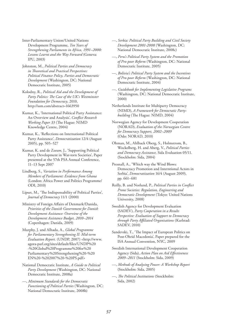Inter-Parliamentary Union/United Nations Development Programme, *Ten Years of Strengthening Parliaments in Africa, 1991–2000: Lessons Learnt and the Way Forward* (Geneva: IPU, 2003)

Johnston, M., *Political Parties and Democracy in Theoretical and Practical Perspectives: Political Finance Policy, Parties and Democratic Development* (Washington, DC: National Democratic Institute, 2005)

Kolodny, R., *Political Aid and the Development of Party Politics: The Case of the UK's Westminster Foundation for Democracy*, 2010, http://ssm.com/abstract=1663950

Kumar, K., 'International Political Party Assistance: An Overview and Analysis', *Conflict Research Working Paper 33* (The Hague: NIMD Knowledge Centre, 2004)

Kumar, K., 'Reflections on International Political Party Assistance', *Democratization* 12/4 (August 2005), pp. 505–527

Kumar, K. and de Zeeuw, J., 'Supporting Political Party Development in War-torn Societies', Paper presented at the 57th PSA Annual Conference, 11–13 Sept 2007

Lindberg, S., *Variation in Performance Among Members of Parliament: Evidence from Ghana*  (London: Africa Power and Politics Programme/ ODI, 2010)

Lipset, M., 'The Indispensability of Political Parties', *Journal of Democracy* 11/1 (2000)

Ministry of Foreign Affairs of Denmark/Danida, *Priorities of the Danish Government for Danish Development Assistance: Overview of the Development Assistance Budget, 2010–2014* (Copenhagen: Danida, 2009)

Murphy, J. and Alhada, A., *Global Programme for Parliamentary Strengthening II: Mid-term Evaluation Report.* (UNDP, 2007) <http://www. agora-parl.org/sites/default/files/UNDP%20 -%20Global%20Programme%20for%20 Parliamentary%20Strengthening%20-%20 EN%20-%202007%20-%20PS.pdf>

National Democratic Institute, *A Guide to Political Party Development* (Washington, DC: National Democratic Institute, 2008a)

—, *Minimum Standards for the Democratic Functioning of Political Parties* (Washington, DC: National Democratic Institute, 2008b)

—, *Serbia: Political Party Building and Civil Society Development 2001-2008* (Washington, DC: National Democratic Institute, 2008c)

—, *Peru's Political Party System and the Promotion of Pro-poor Reform* (Washington, DC: National Democratic Institute, 2005)

—, *Bolivia's Political Party System and the Incentives of Pro-poor Reform* (Washington, DC: National Democratic Institute, 2004)

—. *Guidebook for Implementing Legislative Programs* (Washington, DC: National Democratic Institute, 2000)

Netherlands Institute for Multiparty Democracy (NIMD), *A Framework for Democratic Partybuilding* (The Hague: NIMD, 2004)

Norwegian Agency for Development Cooperation (NORAD), *Evaluation of the Norwegian Centre for Democracy Support, 2002–2009* (Oslo: NORAD, 2010)

Ohman, M., Ahlback Oberg, S., Holmstrom, B., Wockelberg, H. and Aberg, V., *Political Parties and Democracy Assistance,* Sida Evaluation 05/11. (Stockholm: Sida, 2004)

Presnall, A., 'Which way the Wind Blows: Democracy Promotion and Interntional Actors in Serbia', *Democratization* 16/4 (August 2009), pp. 661–681

Reilly, B. and Norlund, P., *Political Parties in Conflict Prone Societies: Regulation, Engineering and Democratic Development* (Tokyo: United Nations University, 2008)

Swedish Agency for Development Evaluation (SADEV), *Party Cooperation in a Results Perspective: Evaluation of Support to Democracy through Party Affiliated Organisations* (Karlstad: SADEV, 2010)

Sandevski, T., 'The Impact of European Politics on Post-Ohrid Macedonia', Paper prepared for the ISA Annual Convention, NYC, 2009

Swedish International Development Cooperation Agency (Sida), *Action Plan on Aid Effectiveness 2009–2011* (Stockholm: Sida, 2009)

—, *Methods of Analysing Power: A Workshop Report* (Stockholm: Sida, 2005)

—, *The Political Institutions* (Stockholm: Sida, 2002)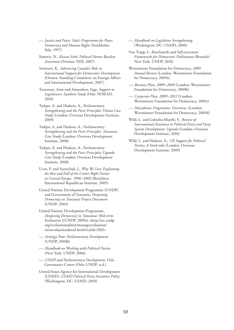—, *Justice and Peace: Sida's Programme for Peace, Democracy and Human Rights* (Stockholm: Sida, 1997)

Simovic, N., *Kosovo Serbs' Political Parties Baseline Assessment* (Pristina: NDI, 2007)

Sorensen, K., *Advancing Canada's Role in International Support for Democratic Development* (Ottawa: Standing Committee on Foreign Affairs and International Development, 2007)

Tostensen, Arne and Amundsen, Inge, *Support to Legislatures: Synthesis Study* (Oslo: NORAD, 2010)

Tsekpo, A. and Hudson, A., *Parliamentary Strengthening and the Paris Principles: Ghana Case Study* (London: Overseas Development Institute, 2009)

Tsekpo, A. and Hudson, A., *Parliamentary Strengthening and the Paris Principles: Tanzania Case Study* (London: Overseas Development Institute, 2008)

Tsekpo, A. and Hudson, A., *Parliamentary Strengthening and the Paris Principles: Uganda Case Study* (London: Overseas Development Institute, 2008)

Ucen, P. and Surotchak, J., *Why We Lost: Explaining the Rise and Fall of the Center-Right Parties in Central Europe, 1996–2002* (Bratislava: International Republican Institute, 2005)

United Nations Development Programme (UNDP) and Government of Tanzania, *Deepening Democracy in Tanzania Project Document* (UNDP, 2004)

United Nations Development Programme, *Deepening Democracy in Tanzania: Mid-term Evaluation* ([UNDP, 2009a) <http://erc.undp. org/evaluationadmin/manageevaluation/ viewevaluationdetail.html?evalid=2965>

—, *Strategy Note: Parliamentary Development*  (UNDP, 2009b)

—, *Handbook on Working with Political Parties* (New York: UNDP, 2006)

—. *UNDP and Parliamentary Development.* Oslo Governance Centre (Oslo: UNDP, n.d.)

United States Agency for International Development (USAID), *USAID Political Party Assistance Policy* (Washington, DC: USAID, 2003)

—, *Handbook on Legislative Strengthening* (Washington, DC: USAID, 2000)

Von Trapp, L. *Benchmarks and Self-assessment Frameworks for Democratic Parliaments* (Brussels/ New York: UNDP, 2010)

Westminster Foundation for Democracy, *2009 Annual Review* (London: Westminster Foundation for Democracy, 2009a)

—, *Business Plan, 2009–2010* (London: Westminster Foundation for Democracy, 2009b)

—, *Corporate Plan, 2009–2012* (London: Westminster Foundation for Democracy, 2009c)

—, *Macedonia: Programme: Overview.* (London: Westminster Foundation for Democracy, 2009d)

Wild, L. and Golooba-Mutebi, F., *Review of International Assistance to Political Party and Party System Development: Uganda* (London: Overseas Development Institute, 2010)

Wild, L. and Hudson, A., *UK Support for Political Parties: A Stock-take* (London: Overseas Development Institute, 2009)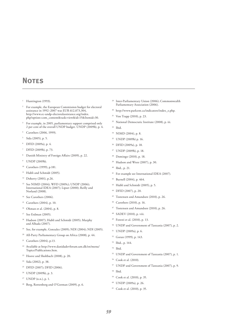### **Notes**

- 1 Huntington (1993).
- For example, the European Commission budget for electoral assistance in 1992–2007 was EUR 612,073,304, http://www.ec-undp-electoralassistance.org/index. php?option=com\_content&task=view&id=15&Itemid=30.
- $3$  For example, in 2005, parliamentary support comprised only 2 per cent of the overall UNDP budget. UNDP (2009b), p. 4.
- Carothers (2006, 1999).
- <sup>5</sup> Sida (2005), p. 5.
- $6$  DFID (2009a), p. 4.
- $7$  DFID (2009b), p. 73.
- Danish Ministry of Foreign Affairs (2009), p. 22.
- <sup>9</sup> UNDP (2009b).
- <sup>10</sup> Carothers (1999), p.181.
- <sup>11</sup> Hubli and Schmidt (2005).
- $12$  Doherty (2001), p.26.
- <sup>13</sup> See NIMD (2004); WFD (2009c); UNDP (2006); International IDEA (2007); Lipset (2000); Reilly and Norland (2008).
- $14$  See Carothers (2006).
- <sup>15</sup> Carothers (2004), p. 10.
- <sup>16</sup> Ohman et al. (2004), p. 8.
- <sup>17</sup> See Erdman (2005).
- <sup>18</sup> Hudson (2007); Hubli and Schmidt (2005); Murphy and Alhada (2007).
- <sup>19</sup> See, for example, Gonzalez (2009); NDI (2004); NDI (2005).
- <sup>20</sup> All-Party Parliamentary Group on Africa (2008), p. 44.
- $21$  Carothers (2004), p.13.
- Available at http://www.danidadevforum.um.dk/en/menu/ Topics/Publications.htm.
- <sup>23</sup> Hoove and Sholtbach (2008), p. 20.
- <sup>24</sup> Sida (2002), p. 38.
- <sup>25</sup> DFID (2007); DFID (2006).
- $26$  UNDP (2009b), p. 3.
- <sup>27</sup> UNDP (n.n.), p. 1.
- <sup>28</sup> Berg, Rottenberg and O'Gorman (2009), p. 6.
- <sup>29</sup> Inter-Parliamentary Union (2006); Commonwealth Parliamentary Association (2006).
- <sup>30</sup> http://www.parlcent.ca/indicators/index\_e.php.
- <sup>31</sup> Von Trapp (2010), p. 23.
- <sup>32</sup> National Democratic Institute (2008), p. iii.
- $33$  Ibid.
- <sup>34</sup> NIMD (2004), p. 8.
- <sup>35</sup> UNDP (2009b) p. 16.
- <sup>36</sup> DFID (2009a), p. 18.
- <sup>37</sup> UNDP (2009b), p. 18.
- <sup>38</sup> Domingo (2010), p. 18.
- <sup>39</sup> Hudson and Wren (2007), p. 30.
- $40$  Ibid., p. 21.
- <sup>41</sup> For example see International IDEA (2007).
- $42$  Burnell (2004), p. 464.
- $43$  Hubli and Schmidt (2005), p. 5.
- <sup>44</sup> DFID (2007), p. 20.
- <sup>45</sup> Tostensen and Amundsen (2010), p. 26.
- <sup>46</sup> Carothers (2010), p. 16.
- $47$  Tostensen and Amundsen (2010), p. 26.
- <sup>48</sup> SADEV (2010), p. viii.
- <sup>49</sup> Foresti et al. (2010), p. 13.
	- 50 UNDP and Government of Tanzania (2007), p. 2.
	- 51 UNDP (2009a), p. 6.
	- <sup>52</sup> Goran (1999), p. 143.
	- <sup>53</sup> Ibid., p. 144.
	- <sup>54</sup> Ibid.
	- <sup>55</sup> UNDP and Government of Tanzania (2007), p. 1.
	- <sup>56</sup> Cook et al. (2010).
	- <sup>57</sup> UNDP and Government of Tanzania (2007), p. 9.
	- <sup>58</sup> Ibid.
	- <sup>59</sup> Cook et al. (2010), p. 35.
	- <sup>60</sup> UNDP (2009a), p. 26.
	- <sup>61</sup> Cook et al. (2010), p. 35.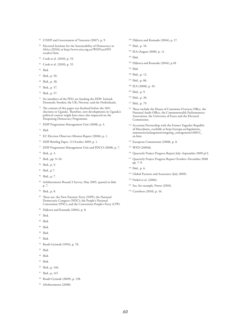- <sup>62</sup> UNDP and Government of Tanzania (2007), p. 9.
- <sup>63</sup> Electoral Institute for the Sustainability of Democracy in Africa (EISA) at http://www.eisa.org.za/WEP/tan1995 results2.htm.
- <sup>64</sup> Cook et al. (2010), p. 53.
- <sup>65</sup> Cook et al. (2010), p. 55.
- <sup>66</sup> Ibid.
- <sup>67</sup> Ibid., p. 56.
- <sup>68</sup> Ibid., p. 38.
- <sup>69</sup> Ibid., p. 57.
- <sup>70</sup> Ibid., p. 57.
- <sup>71</sup> Six members of the PDG are funding the DDP: Ireland; Denmark; Sweden; the UK; Norway; and the Netherlands.
- $72$  The content of this paper was finalised before the 2011 elections in Uganda. Therefore, new developments in Uganda's political context might have since also impacted on the Deepening Democracy Programme.
- <sup>73</sup> DDP Programme Management Unit (2008), p. 3.
- 74 Ibid.
- <sup>75</sup> EU Election Observers Mission Report (2006), p. 1.
- <sup>76</sup> DDP Briefing Paper, 13 October 2009, p. 1.
- <sup>77</sup> DDP Programme Management Unit and PDCO (2008), p. 7.
- <sup>78</sup> Ibid., p. 3.
- 79 Ibid., pp. 9-10.
- 80 Ibid., p. 9.
- $81$  Ibid., p 7.
- 82 Ibid., p. 7.
- 83 Arfobarometer Round 3 Survey, May 2005, quoted in ibid, p. 7.
- <sup>84</sup> Ibid., p. 8.
- <sup>85</sup> These are: the New Patriotic Party (NPP); the National Democratic Congress (NDC); the People's National Convention (PNC); and the Convention People's Party (CPP).
- 86 Dijkstra and Kumado (2004), p. 8.
- 87 Ibid.
- <sup>88</sup> Ibid.
- $89$  Ibid.
- <sup>90</sup> Ibid.
- $91$  Ibid.
- <sup>92</sup> Boadi-Gyimah (1994), p. 78.
- 93 Ibid.
- $94$  Ibid.
- 95 Ibid.
- <sup>96</sup> Ibid., p. 146.
- 97 Ibid., p. 147.
- <sup>98</sup> Boadi-Gyimah (2009), p. 138.
- <sup>99</sup> Afrobarometer (2008).
- <sup>100</sup> Dijkstra and Kumado (2004), p. 17.
- $101$  Ibid., p. 10.
- <sup>102</sup> IEA (August 2008), p. 11.
- $103$  Ibid.
- <sup>104</sup> Dijkstra and Kumado (2004), p.18.
- $105$  Ibid.
- <sup>106</sup> Ibid., p. 12.
- <sup>107</sup> Ibid., p. 86.
- <sup>108</sup> IEA (2008), p. 10.
- $109$  Ibid., p. 9.
- $110$  Ibid., p. 30.
- <sup>111</sup> Ibid., p. 79.
- <sup>112</sup> These include the House of Commons Overseas Office, the National Audit Office, the Commonwealth Parliamentary Association, the University of Essex and the Electoral Commission.
- <sup>113</sup> Accession Partnership with the Former Yugoslav Republic of Macedonia, available at http://europa.eu/legislation\_ summaries/enlargement/ongoing\_enlargement/r18013\_ en.htm.
- <sup>114</sup> European Commission (2008), p. 8.
- <sup>115</sup> WFD (2009d).
- <sup>116</sup> Quarterly Project Progress Report July–September 2009 p12.
- <sup>117</sup> Quarterly Project Progress Report October-December 2008 pp. 7–9.
- $118$  Ibid., p. 6.
- <sup>119</sup> Global Partners and Associates (July 2009).
- <sup>120</sup> Finkel et al. (2006).
- <sup>121</sup> See, for example, Power (2010).
- <sup>122</sup> Carothers (2010), p. 16.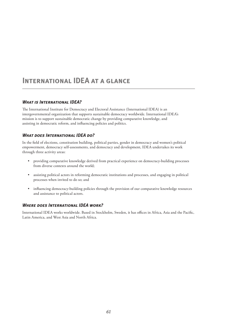### **International IDEA at a glance**

### *What is International IDEA?*

The International Institute for Democracy and Electoral Assistance (International IDEA) is an intergovernmental organization that supports sustainable democracy worldwide. International IDEA's mission is to support sustainable democratic change by providing comparative knowledge, and assisting in democratic reform, and influencing policies and politics.

### *What does International IDEA do?*

In the field of elections, constitution building, political parties, gender in democracy and women's political empowerment, democracy self-assessments, and democracy and development, IDEA undertakes its work through three activity areas:

- providing comparative knowledge derived from practical experience on democracy-building processes from diverse contexts around the world;
- assisting political actors in reforming democratic institutions and processes, and engaging in political processes when invited to do so; and
- • influencing democracy-building policies through the provision of our comparative knowledge resources and assistance to political actors.

### *Where does International IDEA work?*

International IDEA works worldwide. Based in Stockholm, Sweden, it has offices in Africa, Asia and the Pacific, Latin America, and West Asia and North Africa.